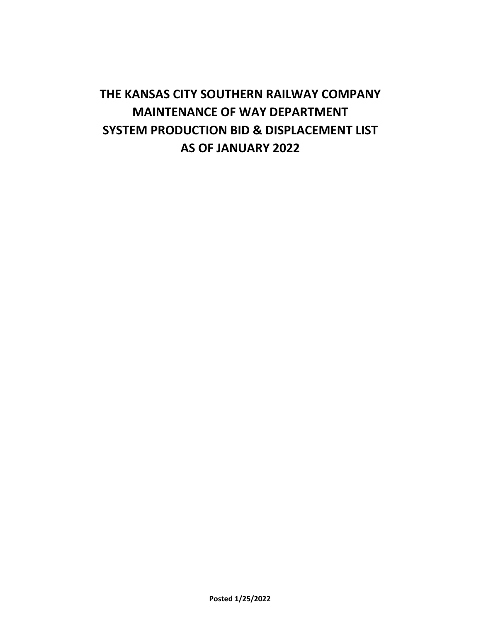# **THE KANSAS CITY SOUTHERN RAILWAY COMPANY MAINTENANCE OF WAY DEPARTMENT SYSTEM PRODUCTION BID & DISPLACEMENT LIST AS OF JANUARY 2022**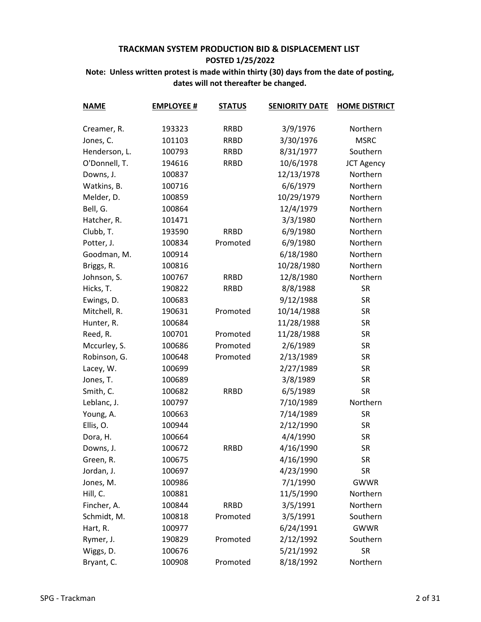| <b>NAME</b>   | <b>EMPLOYEE #</b> | <b>STATUS</b> | <b>SENIORITY DATE</b> | <b>HOME DISTRICT</b> |
|---------------|-------------------|---------------|-----------------------|----------------------|
| Creamer, R.   | 193323            | <b>RRBD</b>   | 3/9/1976              | Northern             |
| Jones, C.     | 101103            | <b>RRBD</b>   | 3/30/1976             | <b>MSRC</b>          |
| Henderson, L. | 100793            | <b>RRBD</b>   | 8/31/1977             | Southern             |
| O'Donnell, T. | 194616            | <b>RRBD</b>   | 10/6/1978             | <b>JCT Agency</b>    |
| Downs, J.     | 100837            |               | 12/13/1978            | Northern             |
| Watkins, B.   | 100716            |               | 6/6/1979              | Northern             |
| Melder, D.    | 100859            |               | 10/29/1979            | Northern             |
| Bell, G.      | 100864            |               | 12/4/1979             | Northern             |
| Hatcher, R.   | 101471            |               | 3/3/1980              | Northern             |
| Clubb, T.     | 193590            | <b>RRBD</b>   | 6/9/1980              | Northern             |
| Potter, J.    | 100834            | Promoted      | 6/9/1980              | Northern             |
| Goodman, M.   | 100914            |               | 6/18/1980             | Northern             |
| Briggs, R.    | 100816            |               | 10/28/1980            | Northern             |
| Johnson, S.   | 100767            | <b>RRBD</b>   | 12/8/1980             | Northern             |
| Hicks, T.     | 190822            | <b>RRBD</b>   | 8/8/1988              | <b>SR</b>            |
| Ewings, D.    | 100683            |               | 9/12/1988             | <b>SR</b>            |
| Mitchell, R.  | 190631            | Promoted      | 10/14/1988            | <b>SR</b>            |
| Hunter, R.    | 100684            |               | 11/28/1988            | <b>SR</b>            |
| Reed, R.      | 100701            | Promoted      | 11/28/1988            | <b>SR</b>            |
| Mccurley, S.  | 100686            | Promoted      | 2/6/1989              | <b>SR</b>            |
| Robinson, G.  | 100648            | Promoted      | 2/13/1989             | <b>SR</b>            |
| Lacey, W.     | 100699            |               | 2/27/1989             | <b>SR</b>            |
| Jones, T.     | 100689            |               | 3/8/1989              | <b>SR</b>            |
| Smith, C.     | 100682            | <b>RRBD</b>   | 6/5/1989              | <b>SR</b>            |
| Leblanc, J.   | 100797            |               | 7/10/1989             | Northern             |
| Young, A.     | 100663            |               | 7/14/1989             | <b>SR</b>            |
| Ellis, O.     | 100944            |               | 2/12/1990             | <b>SR</b>            |
| Dora, H.      | 100664            |               | 4/4/1990              | <b>SR</b>            |
| Downs, J.     | 100672            | <b>RRBD</b>   | 4/16/1990             | <b>SR</b>            |
| Green, R.     | 100675            |               | 4/16/1990             | <b>SR</b>            |
| Jordan, J.    | 100697            |               | 4/23/1990             | <b>SR</b>            |
| Jones, M.     | 100986            |               | 7/1/1990              | <b>GWWR</b>          |
| Hill, C.      | 100881            |               | 11/5/1990             | Northern             |
| Fincher, A.   | 100844            | <b>RRBD</b>   | 3/5/1991              | Northern             |
| Schmidt, M.   | 100818            | Promoted      | 3/5/1991              | Southern             |
| Hart, R.      | 100977            |               | 6/24/1991             | <b>GWWR</b>          |
| Rymer, J.     | 190829            | Promoted      | 2/12/1992             | Southern             |
| Wiggs, D.     | 100676            |               | 5/21/1992             | <b>SR</b>            |
| Bryant, C.    | 100908            | Promoted      | 8/18/1992             | Northern             |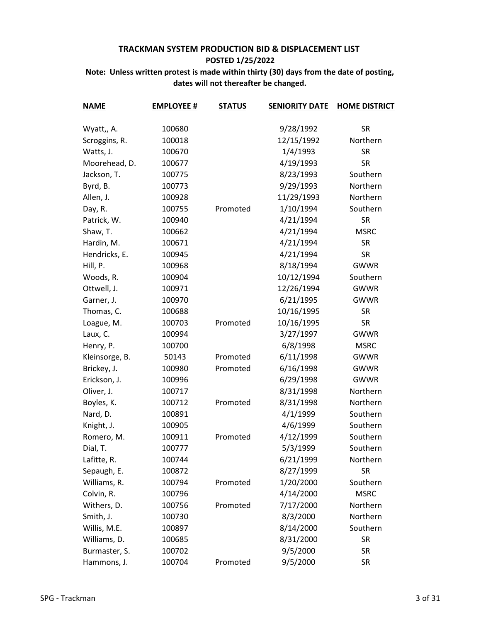| <b>NAME</b>    | <b>EMPLOYEE #</b> | <b>STATUS</b> | <b>SENIORITY DATE</b> | <b>HOME DISTRICT</b> |
|----------------|-------------------|---------------|-----------------------|----------------------|
| Wyatt,, A.     | 100680            |               | 9/28/1992             | <b>SR</b>            |
| Scroggins, R.  | 100018            |               | 12/15/1992            | Northern             |
| Watts, J.      | 100670            |               | 1/4/1993              | <b>SR</b>            |
| Moorehead, D.  | 100677            |               | 4/19/1993             | <b>SR</b>            |
| Jackson, T.    | 100775            |               | 8/23/1993             | Southern             |
| Byrd, B.       | 100773            |               | 9/29/1993             | Northern             |
| Allen, J.      | 100928            |               | 11/29/1993            | Northern             |
| Day, R.        | 100755            | Promoted      | 1/10/1994             | Southern             |
| Patrick, W.    | 100940            |               | 4/21/1994             | <b>SR</b>            |
| Shaw, T.       | 100662            |               | 4/21/1994             | <b>MSRC</b>          |
| Hardin, M.     | 100671            |               | 4/21/1994             | <b>SR</b>            |
| Hendricks, E.  | 100945            |               | 4/21/1994             | <b>SR</b>            |
| Hill, P.       | 100968            |               | 8/18/1994             | <b>GWWR</b>          |
| Woods, R.      | 100904            |               | 10/12/1994            | Southern             |
| Ottwell, J.    | 100971            |               | 12/26/1994            | <b>GWWR</b>          |
| Garner, J.     | 100970            |               | 6/21/1995             | <b>GWWR</b>          |
| Thomas, C.     | 100688            |               | 10/16/1995            | <b>SR</b>            |
| Loague, M.     | 100703            | Promoted      | 10/16/1995            | <b>SR</b>            |
| Laux, C.       | 100994            |               | 3/27/1997             | <b>GWWR</b>          |
| Henry, P.      | 100700            |               | 6/8/1998              | <b>MSRC</b>          |
| Kleinsorge, B. | 50143             | Promoted      | 6/11/1998             | <b>GWWR</b>          |
| Brickey, J.    | 100980            | Promoted      | 6/16/1998             | <b>GWWR</b>          |
| Erickson, J.   | 100996            |               | 6/29/1998             | <b>GWWR</b>          |
| Oliver, J.     | 100717            |               | 8/31/1998             | Northern             |
| Boyles, K.     | 100712            | Promoted      | 8/31/1998             | Northern             |
| Nard, D.       | 100891            |               | 4/1/1999              | Southern             |
| Knight, J.     | 100905            |               | 4/6/1999              | Southern             |
| Romero, M.     | 100911            | Promoted      | 4/12/1999             | Southern             |
| Dial, T.       | 100777            |               | 5/3/1999              | Southern             |
| Lafitte, R.    | 100744            |               | 6/21/1999             | Northern             |
| Sepaugh, E.    | 100872            |               | 8/27/1999             | <b>SR</b>            |
| Williams, R.   | 100794            | Promoted      | 1/20/2000             | Southern             |
| Colvin, R.     | 100796            |               | 4/14/2000             | <b>MSRC</b>          |
| Withers, D.    | 100756            | Promoted      | 7/17/2000             | Northern             |
| Smith, J.      | 100730            |               | 8/3/2000              | Northern             |
| Willis, M.E.   | 100897            |               | 8/14/2000             | Southern             |
| Williams, D.   | 100685            |               | 8/31/2000             | <b>SR</b>            |
| Burmaster, S.  | 100702            |               | 9/5/2000              | <b>SR</b>            |
| Hammons, J.    | 100704            | Promoted      | 9/5/2000              | <b>SR</b>            |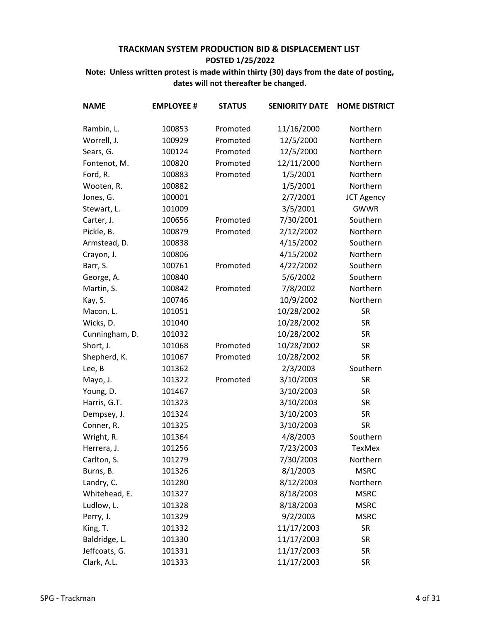| <b>NAME</b>    | <b>EMPLOYEE #</b> | <b>STATUS</b> | <b>SENIORITY DATE</b> | <b>HOME DISTRICT</b> |
|----------------|-------------------|---------------|-----------------------|----------------------|
| Rambin, L.     | 100853            | Promoted      | 11/16/2000            | Northern             |
| Worrell, J.    | 100929            | Promoted      | 12/5/2000             | Northern             |
| Sears, G.      | 100124            | Promoted      | 12/5/2000             | Northern             |
| Fontenot, M.   | 100820            | Promoted      | 12/11/2000            | Northern             |
| Ford, R.       | 100883            | Promoted      | 1/5/2001              | Northern             |
| Wooten, R.     | 100882            |               | 1/5/2001              | Northern             |
| Jones, G.      | 100001            |               | 2/7/2001              | <b>JCT Agency</b>    |
| Stewart, L.    | 101009            |               | 3/5/2001              | <b>GWWR</b>          |
| Carter, J.     | 100656            | Promoted      | 7/30/2001             | Southern             |
| Pickle, B.     | 100879            | Promoted      | 2/12/2002             | Northern             |
| Armstead, D.   | 100838            |               | 4/15/2002             | Southern             |
| Crayon, J.     | 100806            |               | 4/15/2002             | Northern             |
| Barr, S.       | 100761            | Promoted      | 4/22/2002             | Southern             |
| George, A.     | 100840            |               | 5/6/2002              | Southern             |
| Martin, S.     | 100842            | Promoted      | 7/8/2002              | Northern             |
| Kay, S.        | 100746            |               | 10/9/2002             | Northern             |
| Macon, L.      | 101051            |               | 10/28/2002            | <b>SR</b>            |
| Wicks, D.      | 101040            |               | 10/28/2002            | <b>SR</b>            |
| Cunningham, D. | 101032            |               | 10/28/2002            | <b>SR</b>            |
| Short, J.      | 101068            | Promoted      | 10/28/2002            | <b>SR</b>            |
| Shepherd, K.   | 101067            | Promoted      | 10/28/2002            | <b>SR</b>            |
| Lee, B         | 101362            |               | 2/3/2003              | Southern             |
| Mayo, J.       | 101322            | Promoted      | 3/10/2003             | <b>SR</b>            |
| Young, D.      | 101467            |               | 3/10/2003             | <b>SR</b>            |
| Harris, G.T.   | 101323            |               | 3/10/2003             | <b>SR</b>            |
| Dempsey, J.    | 101324            |               | 3/10/2003             | <b>SR</b>            |
| Conner, R.     | 101325            |               | 3/10/2003             | <b>SR</b>            |
| Wright, R.     | 101364            |               | 4/8/2003              | Southern             |
| Herrera, J.    | 101256            |               | 7/23/2003             | <b>TexMex</b>        |
| Carlton, S.    | 101279            |               | 7/30/2003             | Northern             |
| Burns, B.      | 101326            |               | 8/1/2003              | <b>MSRC</b>          |
| Landry, C.     | 101280            |               | 8/12/2003             | Northern             |
| Whitehead, E.  | 101327            |               | 8/18/2003             | <b>MSRC</b>          |
| Ludlow, L.     | 101328            |               | 8/18/2003             | <b>MSRC</b>          |
| Perry, J.      | 101329            |               | 9/2/2003              | <b>MSRC</b>          |
| King, T.       | 101332            |               | 11/17/2003            | <b>SR</b>            |
| Baldridge, L.  | 101330            |               | 11/17/2003            | SR                   |
| Jeffcoats, G.  | 101331            |               | 11/17/2003            | SR                   |
| Clark, A.L.    | 101333            |               | 11/17/2003            | <b>SR</b>            |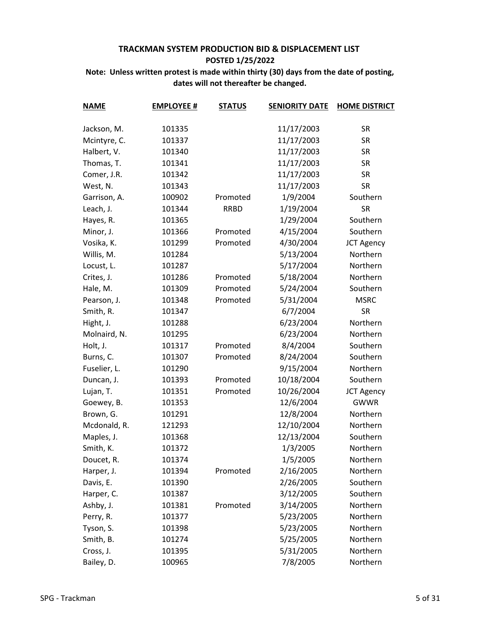| <b>NAME</b>  | <b>EMPLOYEE #</b> | <b>STATUS</b> | <b>SENIORITY DATE</b> | <b>HOME DISTRICT</b> |
|--------------|-------------------|---------------|-----------------------|----------------------|
| Jackson, M.  | 101335            |               | 11/17/2003            | <b>SR</b>            |
| Mcintyre, C. | 101337            |               | 11/17/2003            | <b>SR</b>            |
| Halbert, V.  | 101340            |               | 11/17/2003            | <b>SR</b>            |
| Thomas, T.   | 101341            |               | 11/17/2003            | <b>SR</b>            |
| Comer, J.R.  | 101342            |               | 11/17/2003            | <b>SR</b>            |
| West, N.     | 101343            |               | 11/17/2003            | <b>SR</b>            |
| Garrison, A. | 100902            | Promoted      | 1/9/2004              | Southern             |
| Leach, J.    | 101344            | <b>RRBD</b>   | 1/19/2004             | <b>SR</b>            |
| Hayes, R.    | 101365            |               | 1/29/2004             | Southern             |
| Minor, J.    | 101366            | Promoted      | 4/15/2004             | Southern             |
| Vosika, K.   | 101299            | Promoted      | 4/30/2004             | <b>JCT Agency</b>    |
| Willis, M.   | 101284            |               | 5/13/2004             | Northern             |
| Locust, L.   | 101287            |               | 5/17/2004             | Northern             |
| Crites, J.   | 101286            | Promoted      | 5/18/2004             | Northern             |
| Hale, M.     | 101309            | Promoted      | 5/24/2004             | Southern             |
| Pearson, J.  | 101348            | Promoted      | 5/31/2004             | <b>MSRC</b>          |
| Smith, R.    | 101347            |               | 6/7/2004              | <b>SR</b>            |
| Hight, J.    | 101288            |               | 6/23/2004             | Northern             |
| Molnaird, N. | 101295            |               | 6/23/2004             | Northern             |
| Holt, J.     | 101317            | Promoted      | 8/4/2004              | Southern             |
| Burns, C.    | 101307            | Promoted      | 8/24/2004             | Southern             |
| Fuselier, L. | 101290            |               | 9/15/2004             | Northern             |
| Duncan, J.   | 101393            | Promoted      | 10/18/2004            | Southern             |
| Lujan, T.    | 101351            | Promoted      | 10/26/2004            | <b>JCT Agency</b>    |
| Goewey, B.   | 101353            |               | 12/6/2004             | <b>GWWR</b>          |
| Brown, G.    | 101291            |               | 12/8/2004             | Northern             |
| Mcdonald, R. | 121293            |               | 12/10/2004            | Northern             |
| Maples, J.   | 101368            |               | 12/13/2004            | Southern             |
| Smith, K.    | 101372            |               | 1/3/2005              | Northern             |
| Doucet, R.   | 101374            |               | 1/5/2005              | Northern             |
| Harper, J.   | 101394            | Promoted      | 2/16/2005             | Northern             |
| Davis, E.    | 101390            |               | 2/26/2005             | Southern             |
| Harper, C.   | 101387            |               | 3/12/2005             | Southern             |
| Ashby, J.    | 101381            | Promoted      | 3/14/2005             | Northern             |
| Perry, R.    | 101377            |               | 5/23/2005             | Northern             |
| Tyson, S.    | 101398            |               | 5/23/2005             | Northern             |
| Smith, B.    | 101274            |               | 5/25/2005             | Northern             |
| Cross, J.    | 101395            |               | 5/31/2005             | Northern             |
| Bailey, D.   | 100965            |               | 7/8/2005              | Northern             |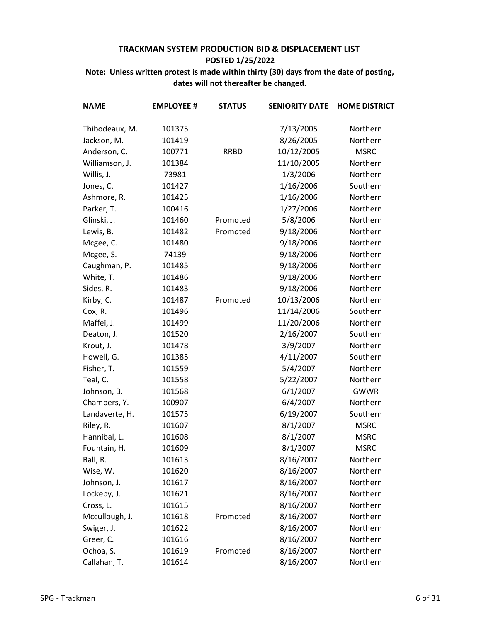| <b>NAME</b>    | <b>EMPLOYEE #</b> | <b>STATUS</b> | <b>SENIORITY DATE</b> | <b>HOME DISTRICT</b> |
|----------------|-------------------|---------------|-----------------------|----------------------|
| Thibodeaux, M. | 101375            |               | 7/13/2005             | Northern             |
| Jackson, M.    | 101419            |               | 8/26/2005             | Northern             |
| Anderson, C.   | 100771            | <b>RRBD</b>   | 10/12/2005            | <b>MSRC</b>          |
| Williamson, J. | 101384            |               | 11/10/2005            | Northern             |
| Willis, J.     | 73981             |               | 1/3/2006              | Northern             |
| Jones, C.      | 101427            |               | 1/16/2006             | Southern             |
| Ashmore, R.    | 101425            |               | 1/16/2006             | Northern             |
| Parker, T.     | 100416            |               | 1/27/2006             | Northern             |
| Glinski, J.    | 101460            | Promoted      | 5/8/2006              | Northern             |
| Lewis, B.      | 101482            | Promoted      | 9/18/2006             | Northern             |
| Mcgee, C.      | 101480            |               | 9/18/2006             | Northern             |
| Mcgee, S.      | 74139             |               | 9/18/2006             | Northern             |
| Caughman, P.   | 101485            |               | 9/18/2006             | Northern             |
| White, T.      | 101486            |               | 9/18/2006             | Northern             |
| Sides, R.      | 101483            |               | 9/18/2006             | Northern             |
| Kirby, C.      | 101487            | Promoted      | 10/13/2006            | Northern             |
| Cox, R.        | 101496            |               | 11/14/2006            | Southern             |
| Maffei, J.     | 101499            |               | 11/20/2006            | Northern             |
| Deaton, J.     | 101520            |               | 2/16/2007             | Southern             |
| Krout, J.      | 101478            |               | 3/9/2007              | Northern             |
| Howell, G.     | 101385            |               | 4/11/2007             | Southern             |
| Fisher, T.     | 101559            |               | 5/4/2007              | Northern             |
| Teal, C.       | 101558            |               | 5/22/2007             | Northern             |
| Johnson, B.    | 101568            |               | 6/1/2007              | <b>GWWR</b>          |
| Chambers, Y.   | 100907            |               | 6/4/2007              | Northern             |
| Landaverte, H. | 101575            |               | 6/19/2007             | Southern             |
| Riley, R.      | 101607            |               | 8/1/2007              | <b>MSRC</b>          |
| Hannibal, L.   | 101608            |               | 8/1/2007              | <b>MSRC</b>          |
| Fountain, H.   | 101609            |               | 8/1/2007              | <b>MSRC</b>          |
| Ball, R.       | 101613            |               | 8/16/2007             | Northern             |
| Wise, W.       | 101620            |               | 8/16/2007             | Northern             |
| Johnson, J.    | 101617            |               | 8/16/2007             | Northern             |
| Lockeby, J.    | 101621            |               | 8/16/2007             | Northern             |
| Cross, L.      | 101615            |               | 8/16/2007             | Northern             |
| Mccullough, J. | 101618            | Promoted      | 8/16/2007             | Northern             |
| Swiger, J.     | 101622            |               | 8/16/2007             | Northern             |
| Greer, C.      | 101616            |               | 8/16/2007             | Northern             |
| Ochoa, S.      | 101619            | Promoted      | 8/16/2007             | Northern             |
| Callahan, T.   | 101614            |               | 8/16/2007             | Northern             |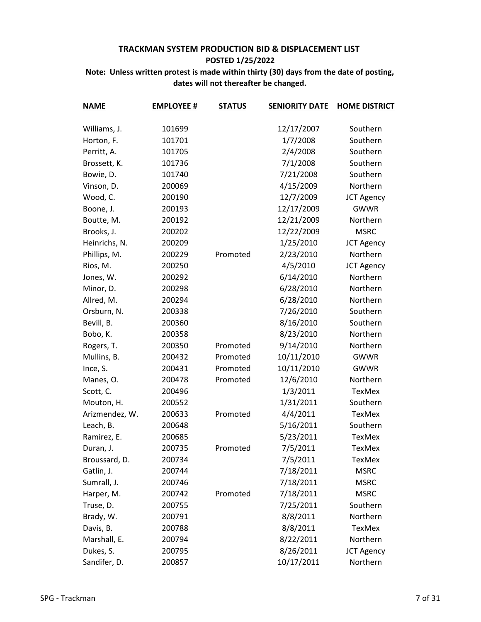| <b>NAME</b>    | <b>EMPLOYEE #</b> | <b>STATUS</b> | <b>SENIORITY DATE</b> | <b>HOME DISTRICT</b> |
|----------------|-------------------|---------------|-----------------------|----------------------|
| Williams, J.   | 101699            |               | 12/17/2007            | Southern             |
| Horton, F.     | 101701            |               | 1/7/2008              | Southern             |
| Perritt, A.    | 101705            |               | 2/4/2008              | Southern             |
| Brossett, K.   | 101736            |               | 7/1/2008              | Southern             |
| Bowie, D.      | 101740            |               | 7/21/2008             | Southern             |
| Vinson, D.     | 200069            |               | 4/15/2009             | Northern             |
| Wood, C.       | 200190            |               | 12/7/2009             | <b>JCT Agency</b>    |
| Boone, J.      | 200193            |               | 12/17/2009            | <b>GWWR</b>          |
| Boutte, M.     | 200192            |               | 12/21/2009            | Northern             |
| Brooks, J.     | 200202            |               | 12/22/2009            | <b>MSRC</b>          |
| Heinrichs, N.  | 200209            |               | 1/25/2010             | <b>JCT Agency</b>    |
| Phillips, M.   | 200229            | Promoted      | 2/23/2010             | Northern             |
| Rios, M.       | 200250            |               | 4/5/2010              | <b>JCT Agency</b>    |
| Jones, W.      | 200292            |               | 6/14/2010             | Northern             |
| Minor, D.      | 200298            |               | 6/28/2010             | Northern             |
| Allred, M.     | 200294            |               | 6/28/2010             | Northern             |
| Orsburn, N.    | 200338            |               | 7/26/2010             | Southern             |
| Bevill, B.     | 200360            |               | 8/16/2010             | Southern             |
| Bobo, K.       | 200358            |               | 8/23/2010             | Northern             |
| Rogers, T.     | 200350            | Promoted      | 9/14/2010             | Northern             |
| Mullins, B.    | 200432            | Promoted      | 10/11/2010            | <b>GWWR</b>          |
| Ince, S.       | 200431            | Promoted      | 10/11/2010            | <b>GWWR</b>          |
| Manes, O.      | 200478            | Promoted      | 12/6/2010             | Northern             |
| Scott, C.      | 200496            |               | 1/3/2011              | TexMex               |
| Mouton, H.     | 200552            |               | 1/31/2011             | Southern             |
| Arizmendez, W. | 200633            | Promoted      | 4/4/2011              | TexMex               |
| Leach, B.      | 200648            |               | 5/16/2011             | Southern             |
| Ramirez, E.    | 200685            |               | 5/23/2011             | TexMex               |
| Duran, J.      | 200735            | Promoted      | 7/5/2011              | TexMex               |
| Broussard, D.  | 200734            |               | 7/5/2011              | <b>TexMex</b>        |
| Gatlin, J.     | 200744            |               | 7/18/2011             | <b>MSRC</b>          |
| Sumrall, J.    | 200746            |               | 7/18/2011             | <b>MSRC</b>          |
| Harper, M.     | 200742            | Promoted      | 7/18/2011             | <b>MSRC</b>          |
| Truse, D.      | 200755            |               | 7/25/2011             | Southern             |
| Brady, W.      | 200791            |               | 8/8/2011              | Northern             |
| Davis, B.      | 200788            |               | 8/8/2011              | TexMex               |
| Marshall, E.   | 200794            |               | 8/22/2011             | Northern             |
| Dukes, S.      | 200795            |               | 8/26/2011             | <b>JCT Agency</b>    |
| Sandifer, D.   | 200857            |               | 10/17/2011            | Northern             |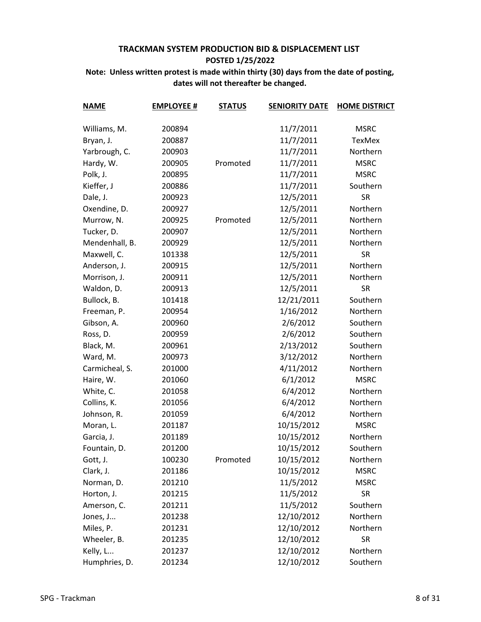| <b>NAME</b>    | <b>EMPLOYEE #</b> | <b>STATUS</b> | <b>SENIORITY DATE</b> | <b>HOME DISTRICT</b> |
|----------------|-------------------|---------------|-----------------------|----------------------|
| Williams, M.   | 200894            |               | 11/7/2011             | <b>MSRC</b>          |
| Bryan, J.      | 200887            |               | 11/7/2011             | <b>TexMex</b>        |
| Yarbrough, C.  | 200903            |               | 11/7/2011             | Northern             |
| Hardy, W.      | 200905            | Promoted      | 11/7/2011             | <b>MSRC</b>          |
| Polk, J.       | 200895            |               | 11/7/2011             | <b>MSRC</b>          |
| Kieffer, J     | 200886            |               | 11/7/2011             | Southern             |
| Dale, J.       | 200923            |               | 12/5/2011             | <b>SR</b>            |
| Oxendine, D.   | 200927            |               | 12/5/2011             | Northern             |
| Murrow, N.     | 200925            | Promoted      | 12/5/2011             | Northern             |
| Tucker, D.     | 200907            |               | 12/5/2011             | Northern             |
| Mendenhall, B. | 200929            |               | 12/5/2011             | Northern             |
| Maxwell, C.    | 101338            |               | 12/5/2011             | <b>SR</b>            |
| Anderson, J.   | 200915            |               | 12/5/2011             | Northern             |
| Morrison, J.   | 200911            |               | 12/5/2011             | Northern             |
| Waldon, D.     | 200913            |               | 12/5/2011             | <b>SR</b>            |
| Bullock, B.    | 101418            |               | 12/21/2011            | Southern             |
| Freeman, P.    | 200954            |               | 1/16/2012             | Northern             |
| Gibson, A.     | 200960            |               | 2/6/2012              | Southern             |
| Ross, D.       | 200959            |               | 2/6/2012              | Southern             |
| Black, M.      | 200961            |               | 2/13/2012             | Southern             |
| Ward, M.       | 200973            |               | 3/12/2012             | Northern             |
| Carmicheal, S. | 201000            |               | 4/11/2012             | Northern             |
| Haire, W.      | 201060            |               | 6/1/2012              | <b>MSRC</b>          |
| White, C.      | 201058            |               | 6/4/2012              | Northern             |
| Collins, K.    | 201056            |               | 6/4/2012              | Northern             |
| Johnson, R.    | 201059            |               | 6/4/2012              | Northern             |
| Moran, L.      | 201187            |               | 10/15/2012            | <b>MSRC</b>          |
| Garcia, J.     | 201189            |               | 10/15/2012            | Northern             |
| Fountain, D.   | 201200            |               | 10/15/2012            | Southern             |
| Gott, J.       | 100230            | Promoted      | 10/15/2012            | Northern             |
| Clark, J.      | 201186            |               | 10/15/2012            | <b>MSRC</b>          |
| Norman, D.     | 201210            |               | 11/5/2012             | <b>MSRC</b>          |
| Horton, J.     | 201215            |               | 11/5/2012             | <b>SR</b>            |
| Amerson, C.    | 201211            |               | 11/5/2012             | Southern             |
| Jones, J       | 201238            |               | 12/10/2012            | Northern             |
| Miles, P.      | 201231            |               | 12/10/2012            | Northern             |
| Wheeler, B.    | 201235            |               | 12/10/2012            | <b>SR</b>            |
| Kelly, L       | 201237            |               | 12/10/2012            | Northern             |
| Humphries, D.  | 201234            |               | 12/10/2012            | Southern             |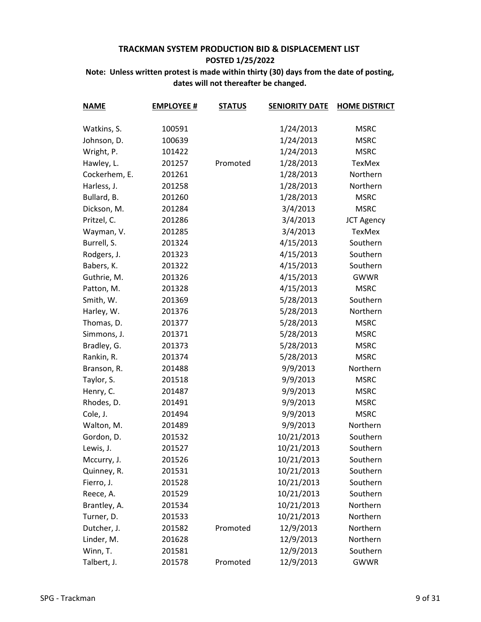| <b>NAME</b>   | <b>EMPLOYEE #</b> | <b>STATUS</b> | <b>SENIORITY DATE</b> | <b>HOME DISTRICT</b> |
|---------------|-------------------|---------------|-----------------------|----------------------|
| Watkins, S.   | 100591            |               | 1/24/2013             | <b>MSRC</b>          |
| Johnson, D.   | 100639            |               | 1/24/2013             | <b>MSRC</b>          |
| Wright, P.    | 101422            |               | 1/24/2013             | <b>MSRC</b>          |
| Hawley, L.    | 201257            | Promoted      | 1/28/2013             | TexMex               |
| Cockerhem, E. | 201261            |               | 1/28/2013             | Northern             |
| Harless, J.   | 201258            |               | 1/28/2013             | Northern             |
| Bullard, B.   | 201260            |               | 1/28/2013             | <b>MSRC</b>          |
| Dickson, M.   | 201284            |               | 3/4/2013              | <b>MSRC</b>          |
| Pritzel, C.   | 201286            |               | 3/4/2013              | <b>JCT Agency</b>    |
| Wayman, V.    | 201285            |               | 3/4/2013              | <b>TexMex</b>        |
| Burrell, S.   | 201324            |               | 4/15/2013             | Southern             |
| Rodgers, J.   | 201323            |               | 4/15/2013             | Southern             |
| Babers, K.    | 201322            |               | 4/15/2013             | Southern             |
| Guthrie, M.   | 201326            |               | 4/15/2013             | <b>GWWR</b>          |
| Patton, M.    | 201328            |               | 4/15/2013             | <b>MSRC</b>          |
| Smith, W.     | 201369            |               | 5/28/2013             | Southern             |
| Harley, W.    | 201376            |               | 5/28/2013             | Northern             |
| Thomas, D.    | 201377            |               | 5/28/2013             | <b>MSRC</b>          |
| Simmons, J.   | 201371            |               | 5/28/2013             | <b>MSRC</b>          |
| Bradley, G.   | 201373            |               | 5/28/2013             | <b>MSRC</b>          |
| Rankin, R.    | 201374            |               | 5/28/2013             | <b>MSRC</b>          |
| Branson, R.   | 201488            |               | 9/9/2013              | Northern             |
| Taylor, S.    | 201518            |               | 9/9/2013              | <b>MSRC</b>          |
| Henry, C.     | 201487            |               | 9/9/2013              | <b>MSRC</b>          |
| Rhodes, D.    | 201491            |               | 9/9/2013              | <b>MSRC</b>          |
| Cole, J.      | 201494            |               | 9/9/2013              | <b>MSRC</b>          |
| Walton, M.    | 201489            |               | 9/9/2013              | Northern             |
| Gordon, D.    | 201532            |               | 10/21/2013            | Southern             |
| Lewis, J.     | 201527            |               | 10/21/2013            | Southern             |
| Mccurry, J.   | 201526            |               | 10/21/2013            | Southern             |
| Quinney, R.   | 201531            |               | 10/21/2013            | Southern             |
| Fierro, J.    | 201528            |               | 10/21/2013            | Southern             |
| Reece, A.     | 201529            |               | 10/21/2013            | Southern             |
| Brantley, A.  | 201534            |               | 10/21/2013            | Northern             |
| Turner, D.    | 201533            |               | 10/21/2013            | Northern             |
| Dutcher, J.   | 201582            | Promoted      | 12/9/2013             | Northern             |
| Linder, M.    | 201628            |               | 12/9/2013             | Northern             |
| Winn, T.      | 201581            |               | 12/9/2013             | Southern             |
| Talbert, J.   | 201578            | Promoted      | 12/9/2013             | <b>GWWR</b>          |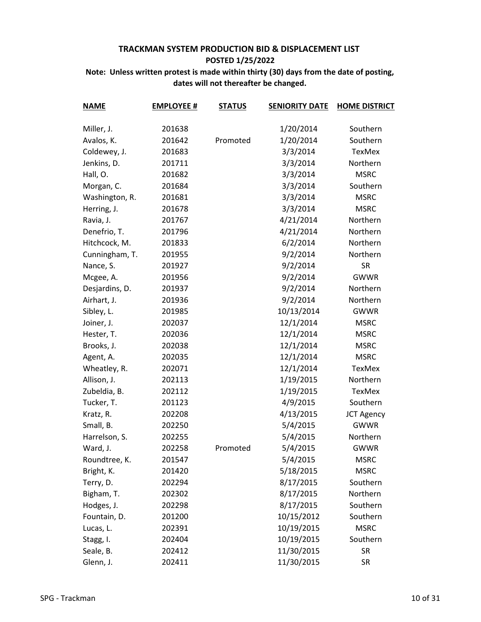| <b>NAME</b>    | <b>EMPLOYEE #</b> | <b>STATUS</b> | <b>SENIORITY DATE</b> | <b>HOME DISTRICT</b> |
|----------------|-------------------|---------------|-----------------------|----------------------|
| Miller, J.     | 201638            |               | 1/20/2014             | Southern             |
| Avalos, K.     | 201642            | Promoted      | 1/20/2014             | Southern             |
| Coldewey, J.   | 201683            |               | 3/3/2014              | TexMex               |
|                | 201711            |               | 3/3/2014              | Northern             |
| Jenkins, D.    |                   |               |                       | <b>MSRC</b>          |
| Hall, O.       | 201682            |               | 3/3/2014              |                      |
| Morgan, C.     | 201684            |               | 3/3/2014              | Southern             |
| Washington, R. | 201681            |               | 3/3/2014              | <b>MSRC</b>          |
| Herring, J.    | 201678            |               | 3/3/2014              | <b>MSRC</b>          |
| Ravia, J.      | 201767            |               | 4/21/2014             | Northern             |
| Denefrio, T.   | 201796            |               | 4/21/2014             | Northern             |
| Hitchcock, M.  | 201833            |               | 6/2/2014              | Northern             |
| Cunningham, T. | 201955            |               | 9/2/2014              | Northern             |
| Nance, S.      | 201927            |               | 9/2/2014              | <b>SR</b>            |
| Mcgee, A.      | 201956            |               | 9/2/2014              | <b>GWWR</b>          |
| Desjardins, D. | 201937            |               | 9/2/2014              | Northern             |
| Airhart, J.    | 201936            |               | 9/2/2014              | Northern             |
| Sibley, L.     | 201985            |               | 10/13/2014            | <b>GWWR</b>          |
| Joiner, J.     | 202037            |               | 12/1/2014             | <b>MSRC</b>          |
| Hester, T.     | 202036            |               | 12/1/2014             | <b>MSRC</b>          |
| Brooks, J.     | 202038            |               | 12/1/2014             | <b>MSRC</b>          |
| Agent, A.      | 202035            |               | 12/1/2014             | <b>MSRC</b>          |
| Wheatley, R.   | 202071            |               | 12/1/2014             | TexMex               |
| Allison, J.    | 202113            |               | 1/19/2015             | Northern             |
| Zubeldia, B.   | 202112            |               | 1/19/2015             | TexMex               |
| Tucker, T.     | 201123            |               | 4/9/2015              | Southern             |
| Kratz, R.      | 202208            |               | 4/13/2015             | <b>JCT Agency</b>    |
| Small, B.      | 202250            |               | 5/4/2015              | <b>GWWR</b>          |
| Harrelson, S.  | 202255            |               | 5/4/2015              | Northern             |
| Ward, J.       | 202258            | Promoted      | 5/4/2015              | <b>GWWR</b>          |
| Roundtree, K.  | 201547            |               | 5/4/2015              | <b>MSRC</b>          |
| Bright, K.     | 201420            |               | 5/18/2015             | <b>MSRC</b>          |
| Terry, D.      | 202294            |               | 8/17/2015             | Southern             |
| Bigham, T.     | 202302            |               | 8/17/2015             | Northern             |
| Hodges, J.     | 202298            |               | 8/17/2015             | Southern             |
| Fountain, D.   | 201200            |               | 10/15/2012            | Southern             |
| Lucas, L.      | 202391            |               | 10/19/2015            | <b>MSRC</b>          |
| Stagg, I.      | 202404            |               | 10/19/2015            | Southern             |
| Seale, B.      | 202412            |               | 11/30/2015            | <b>SR</b>            |
| Glenn, J.      | 202411            |               | 11/30/2015            | <b>SR</b>            |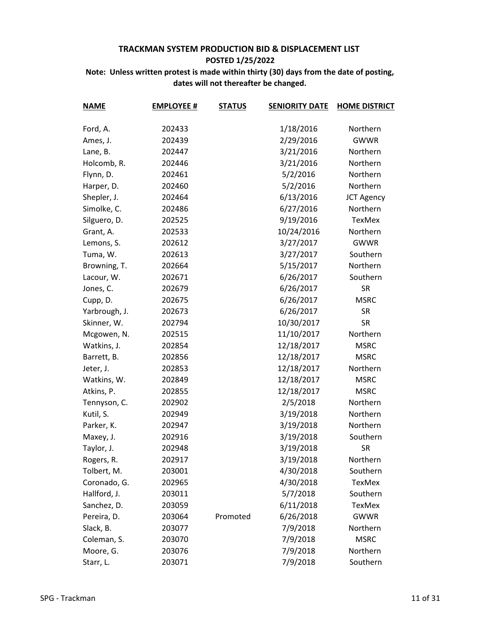| <b>NAME</b>   | <b>EMPLOYEE #</b> | <b>STATUS</b> | <b>SENIORITY DATE</b> | <b>HOME DISTRICT</b> |
|---------------|-------------------|---------------|-----------------------|----------------------|
|               |                   |               |                       |                      |
| Ford, A.      | 202433            |               | 1/18/2016             | Northern             |
| Ames, J.      | 202439            |               | 2/29/2016             | <b>GWWR</b>          |
| Lane, B.      | 202447            |               | 3/21/2016             | Northern             |
| Holcomb, R.   | 202446            |               | 3/21/2016             | Northern             |
| Flynn, D.     | 202461            |               | 5/2/2016              | Northern             |
| Harper, D.    | 202460            |               | 5/2/2016              | Northern             |
| Shepler, J.   | 202464            |               | 6/13/2016             | <b>JCT Agency</b>    |
| Simolke, C.   | 202486            |               | 6/27/2016             | Northern             |
| Silguero, D.  | 202525            |               | 9/19/2016             | TexMex               |
| Grant, A.     | 202533            |               | 10/24/2016            | Northern             |
| Lemons, S.    | 202612            |               | 3/27/2017             | <b>GWWR</b>          |
| Tuma, W.      | 202613            |               | 3/27/2017             | Southern             |
| Browning, T.  | 202664            |               | 5/15/2017             | Northern             |
| Lacour, W.    | 202671            |               | 6/26/2017             | Southern             |
| Jones, C.     | 202679            |               | 6/26/2017             | <b>SR</b>            |
| Cupp, D.      | 202675            |               | 6/26/2017             | <b>MSRC</b>          |
| Yarbrough, J. | 202673            |               | 6/26/2017             | <b>SR</b>            |
| Skinner, W.   | 202794            |               | 10/30/2017            | <b>SR</b>            |
| Mcgowen, N.   | 202515            |               | 11/10/2017            | Northern             |
| Watkins, J.   | 202854            |               | 12/18/2017            | <b>MSRC</b>          |
| Barrett, B.   | 202856            |               | 12/18/2017            | <b>MSRC</b>          |
| Jeter, J.     | 202853            |               | 12/18/2017            | Northern             |
| Watkins, W.   | 202849            |               | 12/18/2017            | <b>MSRC</b>          |
| Atkins, P.    | 202855            |               | 12/18/2017            | <b>MSRC</b>          |
| Tennyson, C.  | 202902            |               | 2/5/2018              | Northern             |
| Kutil, S.     | 202949            |               | 3/19/2018             | Northern             |
| Parker, K.    | 202947            |               | 3/19/2018             | Northern             |
| Maxey, J.     | 202916            |               | 3/19/2018             | Southern             |
| Taylor, J.    | 202948            |               | 3/19/2018             | <b>SR</b>            |
| Rogers, R.    | 202917            |               | 3/19/2018             | Northern             |
| Tolbert, M.   | 203001            |               | 4/30/2018             | Southern             |
| Coronado, G.  | 202965            |               | 4/30/2018             | TexMex               |
| Hallford, J.  | 203011            |               | 5/7/2018              | Southern             |
| Sanchez, D.   | 203059            |               | 6/11/2018             | <b>TexMex</b>        |
| Pereira, D.   | 203064            | Promoted      | 6/26/2018             | <b>GWWR</b>          |
| Slack, B.     | 203077            |               | 7/9/2018              | Northern             |
| Coleman, S.   | 203070            |               | 7/9/2018              | <b>MSRC</b>          |
| Moore, G.     | 203076            |               | 7/9/2018              | Northern             |
| Starr, L.     | 203071            |               | 7/9/2018              | Southern             |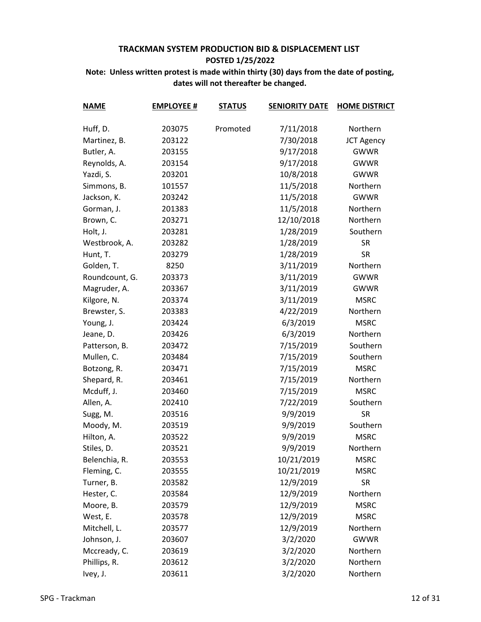| <b>NAME</b>    | <b>EMPLOYEE #</b> | <b>STATUS</b> | <b>SENIORITY DATE</b> | <b>HOME DISTRICT</b> |
|----------------|-------------------|---------------|-----------------------|----------------------|
| Huff, D.       | 203075            | Promoted      | 7/11/2018             | Northern             |
| Martinez, B.   | 203122            |               | 7/30/2018             | <b>JCT Agency</b>    |
| Butler, A.     | 203155            |               | 9/17/2018             | <b>GWWR</b>          |
| Reynolds, A.   | 203154            |               | 9/17/2018             | <b>GWWR</b>          |
| Yazdi, S.      | 203201            |               | 10/8/2018             | <b>GWWR</b>          |
| Simmons, B.    | 101557            |               | 11/5/2018             | Northern             |
| Jackson, K.    | 203242            |               | 11/5/2018             | <b>GWWR</b>          |
| Gorman, J.     | 201383            |               | 11/5/2018             | Northern             |
| Brown, C.      | 203271            |               | 12/10/2018            | Northern             |
| Holt, J.       | 203281            |               | 1/28/2019             | Southern             |
| Westbrook, A.  | 203282            |               | 1/28/2019             | <b>SR</b>            |
| Hunt, T.       | 203279            |               | 1/28/2019             | <b>SR</b>            |
| Golden, T.     | 8250              |               | 3/11/2019             | Northern             |
| Roundcount, G. | 203373            |               | 3/11/2019             | <b>GWWR</b>          |
| Magruder, A.   | 203367            |               | 3/11/2019             | <b>GWWR</b>          |
| Kilgore, N.    | 203374            |               | 3/11/2019             | <b>MSRC</b>          |
| Brewster, S.   | 203383            |               | 4/22/2019             | Northern             |
| Young, J.      | 203424            |               | 6/3/2019              | <b>MSRC</b>          |
| Jeane, D.      | 203426            |               | 6/3/2019              | Northern             |
| Patterson, B.  | 203472            |               | 7/15/2019             | Southern             |
| Mullen, C.     | 203484            |               | 7/15/2019             | Southern             |
| Botzong, R.    | 203471            |               | 7/15/2019             | <b>MSRC</b>          |
| Shepard, R.    | 203461            |               | 7/15/2019             | Northern             |
| Mcduff, J.     | 203460            |               | 7/15/2019             | <b>MSRC</b>          |
| Allen, A.      | 202410            |               | 7/22/2019             | Southern             |
| Sugg, M.       | 203516            |               | 9/9/2019              | <b>SR</b>            |
| Moody, M.      | 203519            |               | 9/9/2019              | Southern             |
| Hilton, A.     | 203522            |               | 9/9/2019              | <b>MSRC</b>          |
| Stiles, D.     | 203521            |               | 9/9/2019              | Northern             |
| Belenchia, R.  | 203553            |               | 10/21/2019            | <b>MSRC</b>          |
| Fleming, C.    | 203555            |               | 10/21/2019            | <b>MSRC</b>          |
| Turner, B.     | 203582            |               | 12/9/2019             | <b>SR</b>            |
| Hester, C.     | 203584            |               | 12/9/2019             | Northern             |
| Moore, B.      | 203579            |               | 12/9/2019             | <b>MSRC</b>          |
| West, E.       | 203578            |               | 12/9/2019             | <b>MSRC</b>          |
| Mitchell, L.   | 203577            |               | 12/9/2019             | Northern             |
| Johnson, J.    | 203607            |               | 3/2/2020              | <b>GWWR</b>          |
| Mccready, C.   | 203619            |               | 3/2/2020              | Northern             |
| Phillips, R.   | 203612            |               | 3/2/2020              | Northern             |
| Ivey, J.       | 203611            |               | 3/2/2020              | Northern             |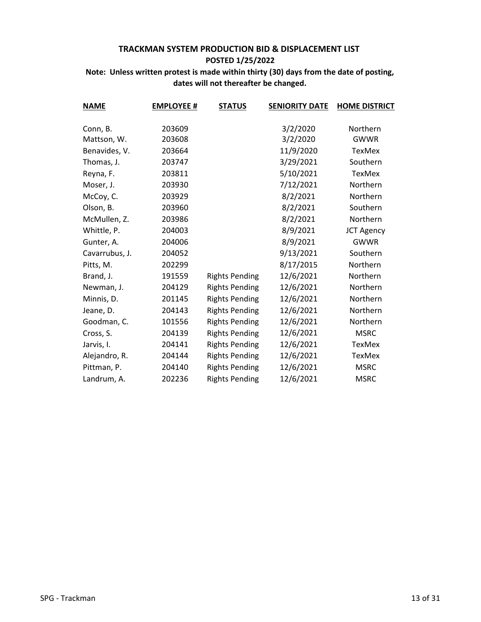| <b>NAME</b>    | <b>EMPLOYEE #</b> | <b>STATUS</b>         | <b>SENIORITY DATE</b> | <b>HOME DISTRICT</b> |
|----------------|-------------------|-----------------------|-----------------------|----------------------|
|                |                   |                       |                       |                      |
| Conn, B.       | 203609            |                       | 3/2/2020              | Northern             |
| Mattson, W.    | 203608            |                       | 3/2/2020              | <b>GWWR</b>          |
| Benavides, V.  | 203664            |                       | 11/9/2020             | TexMex               |
| Thomas, J.     | 203747            |                       | 3/29/2021             | Southern             |
| Reyna, F.      | 203811            |                       | 5/10/2021             | <b>TexMex</b>        |
| Moser, J.      | 203930            |                       | 7/12/2021             | Northern             |
| McCoy, C.      | 203929            |                       | 8/2/2021              | Northern             |
| Olson, B.      | 203960            |                       | 8/2/2021              | Southern             |
| McMullen, Z.   | 203986            |                       | 8/2/2021              | Northern             |
| Whittle, P.    | 204003            |                       | 8/9/2021              | <b>JCT Agency</b>    |
| Gunter, A.     | 204006            |                       | 8/9/2021              | <b>GWWR</b>          |
| Cavarrubus, J. | 204052            |                       | 9/13/2021             | Southern             |
| Pitts, M.      | 202299            |                       | 8/17/2015             | Northern             |
| Brand, J.      | 191559            | <b>Rights Pending</b> | 12/6/2021             | Northern             |
| Newman, J.     | 204129            | <b>Rights Pending</b> | 12/6/2021             | Northern             |
| Minnis, D.     | 201145            | <b>Rights Pending</b> | 12/6/2021             | Northern             |
| Jeane, D.      | 204143            | <b>Rights Pending</b> | 12/6/2021             | Northern             |
| Goodman, C.    | 101556            | <b>Rights Pending</b> | 12/6/2021             | Northern             |
| Cross, S.      | 204139            | <b>Rights Pending</b> | 12/6/2021             | <b>MSRC</b>          |
| Jarvis, I.     | 204141            | <b>Rights Pending</b> | 12/6/2021             | <b>TexMex</b>        |
| Alejandro, R.  | 204144            | <b>Rights Pending</b> | 12/6/2021             | <b>TexMex</b>        |
| Pittman, P.    | 204140            | <b>Rights Pending</b> | 12/6/2021             | <b>MSRC</b>          |
| Landrum, A.    | 202236            | <b>Rights Pending</b> | 12/6/2021             | <b>MSRC</b>          |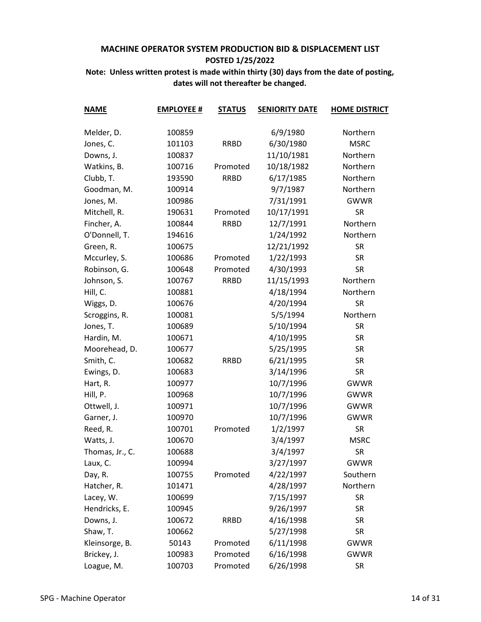| <b>NAME</b>     | <b>EMPLOYEE #</b> | <b>STATUS</b> | <b>SENIORITY DATE</b> | <b>HOME DISTRICT</b> |
|-----------------|-------------------|---------------|-----------------------|----------------------|
| Melder, D.      | 100859            |               | 6/9/1980              | Northern             |
| Jones, C.       | 101103            | <b>RRBD</b>   | 6/30/1980             | <b>MSRC</b>          |
| Downs, J.       | 100837            |               | 11/10/1981            | Northern             |
| Watkins, B.     | 100716            | Promoted      | 10/18/1982            | Northern             |
| Clubb, T.       | 193590            | <b>RRBD</b>   | 6/17/1985             | Northern             |
| Goodman, M.     | 100914            |               | 9/7/1987              | Northern             |
| Jones, M.       | 100986            |               | 7/31/1991             | <b>GWWR</b>          |
| Mitchell, R.    | 190631            | Promoted      | 10/17/1991            | <b>SR</b>            |
| Fincher, A.     | 100844            | <b>RRBD</b>   | 12/7/1991             | Northern             |
| O'Donnell, T.   | 194616            |               | 1/24/1992             | Northern             |
| Green, R.       | 100675            |               | 12/21/1992            | <b>SR</b>            |
| Mccurley, S.    | 100686            | Promoted      | 1/22/1993             | <b>SR</b>            |
| Robinson, G.    | 100648            | Promoted      | 4/30/1993             | <b>SR</b>            |
| Johnson, S.     | 100767            | <b>RRBD</b>   | 11/15/1993            | Northern             |
| Hill, C.        | 100881            |               | 4/18/1994             | Northern             |
| Wiggs, D.       | 100676            |               | 4/20/1994             | <b>SR</b>            |
| Scroggins, R.   | 100081            |               | 5/5/1994              | Northern             |
| Jones, T.       | 100689            |               | 5/10/1994             | <b>SR</b>            |
| Hardin, M.      | 100671            |               | 4/10/1995             | <b>SR</b>            |
| Moorehead, D.   | 100677            |               | 5/25/1995             | <b>SR</b>            |
| Smith, C.       | 100682            | <b>RRBD</b>   | 6/21/1995             | <b>SR</b>            |
| Ewings, D.      | 100683            |               | 3/14/1996             | <b>SR</b>            |
| Hart, R.        | 100977            |               | 10/7/1996             | <b>GWWR</b>          |
| Hill, P.        | 100968            |               | 10/7/1996             | <b>GWWR</b>          |
| Ottwell, J.     | 100971            |               | 10/7/1996             | <b>GWWR</b>          |
| Garner, J.      | 100970            |               | 10/7/1996             | <b>GWWR</b>          |
| Reed, R.        | 100701            | Promoted      | 1/2/1997              | <b>SR</b>            |
| Watts, J.       | 100670            |               | 3/4/1997              | <b>MSRC</b>          |
| Thomas, Jr., C. | 100688            |               | 3/4/1997              | <b>SR</b>            |
| Laux, C.        | 100994            |               | 3/27/1997             | <b>GWWR</b>          |
| Day, R.         | 100755            | Promoted      | 4/22/1997             | Southern             |
| Hatcher, R.     | 101471            |               | 4/28/1997             | Northern             |
| Lacey, W.       | 100699            |               | 7/15/1997             | <b>SR</b>            |
| Hendricks, E.   | 100945            |               | 9/26/1997             | SR                   |
| Downs, J.       | 100672            | <b>RRBD</b>   | 4/16/1998             | <b>SR</b>            |
| Shaw, T.        | 100662            |               | 5/27/1998             | <b>SR</b>            |
| Kleinsorge, B.  | 50143             | Promoted      | 6/11/1998             | <b>GWWR</b>          |
| Brickey, J.     | 100983            | Promoted      | 6/16/1998             | <b>GWWR</b>          |
| Loague, M.      | 100703            | Promoted      | 6/26/1998             | <b>SR</b>            |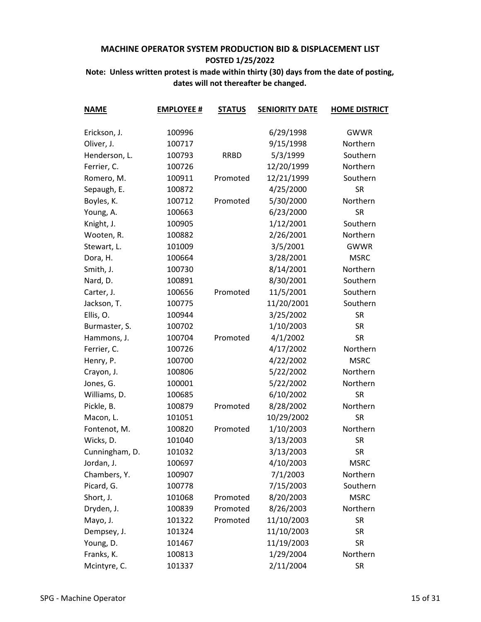| <b>NAME</b>    | <b>EMPLOYEE #</b> | <b>STATUS</b> | <b>SENIORITY DATE</b> | <b>HOME DISTRICT</b> |
|----------------|-------------------|---------------|-----------------------|----------------------|
|                |                   |               |                       |                      |
| Erickson, J.   | 100996            |               | 6/29/1998             | <b>GWWR</b>          |
| Oliver, J.     | 100717            |               | 9/15/1998             | Northern             |
| Henderson, L.  | 100793            | <b>RRBD</b>   | 5/3/1999              | Southern             |
| Ferrier, C.    | 100726            |               | 12/20/1999            | Northern             |
| Romero, M.     | 100911            | Promoted      | 12/21/1999            | Southern             |
| Sepaugh, E.    | 100872            |               | 4/25/2000             | <b>SR</b>            |
| Boyles, K.     | 100712            | Promoted      | 5/30/2000             | Northern             |
| Young, A.      | 100663            |               | 6/23/2000             | <b>SR</b>            |
| Knight, J.     | 100905            |               | 1/12/2001             | Southern             |
| Wooten, R.     | 100882            |               | 2/26/2001             | Northern             |
| Stewart, L.    | 101009            |               | 3/5/2001              | <b>GWWR</b>          |
| Dora, H.       | 100664            |               | 3/28/2001             | <b>MSRC</b>          |
| Smith, J.      | 100730            |               | 8/14/2001             | Northern             |
| Nard, D.       | 100891            |               | 8/30/2001             | Southern             |
| Carter, J.     | 100656            | Promoted      | 11/5/2001             | Southern             |
| Jackson, T.    | 100775            |               | 11/20/2001            | Southern             |
| Ellis, O.      | 100944            |               | 3/25/2002             | <b>SR</b>            |
| Burmaster, S.  | 100702            |               | 1/10/2003             | <b>SR</b>            |
| Hammons, J.    | 100704            | Promoted      | 4/1/2002              | <b>SR</b>            |
| Ferrier, C.    | 100726            |               | 4/17/2002             | Northern             |
| Henry, P.      | 100700            |               | 4/22/2002             | <b>MSRC</b>          |
| Crayon, J.     | 100806            |               | 5/22/2002             | Northern             |
| Jones, G.      | 100001            |               | 5/22/2002             | Northern             |
| Williams, D.   | 100685            |               | 6/10/2002             | <b>SR</b>            |
| Pickle, B.     | 100879            | Promoted      | 8/28/2002             | Northern             |
| Macon, L.      | 101051            |               | 10/29/2002            | <b>SR</b>            |
| Fontenot, M.   | 100820            | Promoted      | 1/10/2003             | Northern             |
| Wicks, D.      | 101040            |               | 3/13/2003             | <b>SR</b>            |
| Cunningham, D. | 101032            |               | 3/13/2003             | <b>SR</b>            |
| Jordan, J.     | 100697            |               | 4/10/2003             | <b>MSRC</b>          |
| Chambers, Y.   | 100907            |               | 7/1/2003              | Northern             |
| Picard, G.     | 100778            |               | 7/15/2003             | Southern             |
| Short, J.      | 101068            | Promoted      | 8/20/2003             | <b>MSRC</b>          |
| Dryden, J.     | 100839            | Promoted      | 8/26/2003             | Northern             |
| Mayo, J.       | 101322            | Promoted      | 11/10/2003            | <b>SR</b>            |
| Dempsey, J.    | 101324            |               | 11/10/2003            | <b>SR</b>            |
| Young, D.      | 101467            |               | 11/19/2003            | <b>SR</b>            |
| Franks, K.     | 100813            |               | 1/29/2004             | Northern             |
| Mcintyre, C.   | 101337            |               | 2/11/2004             | <b>SR</b>            |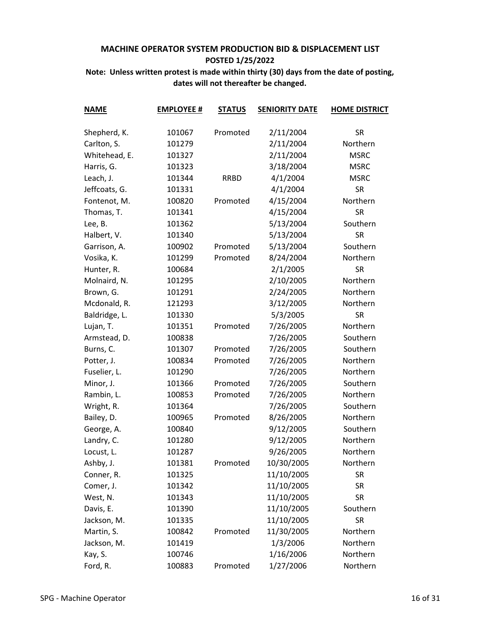| <b>NAME</b>   | <b>EMPLOYEE #</b> | <b>STATUS</b> | <b>SENIORITY DATE</b>  | <b>HOME DISTRICT</b> |
|---------------|-------------------|---------------|------------------------|----------------------|
|               |                   | Promoted      |                        | <b>SR</b>            |
| Shepherd, K.  | 101067<br>101279  |               | 2/11/2004<br>2/11/2004 | Northern             |
| Carlton, S.   | 101327            |               |                        | <b>MSRC</b>          |
| Whitehead, E. |                   |               | 2/11/2004              |                      |
| Harris, G.    | 101323            |               | 3/18/2004              | <b>MSRC</b>          |
| Leach, J.     | 101344            | <b>RRBD</b>   | 4/1/2004               | <b>MSRC</b>          |
| Jeffcoats, G. | 101331            |               | 4/1/2004               | <b>SR</b>            |
| Fontenot, M.  | 100820            | Promoted      | 4/15/2004              | Northern             |
| Thomas, T.    | 101341            |               | 4/15/2004              | <b>SR</b>            |
| Lee, B.       | 101362            |               | 5/13/2004              | Southern             |
| Halbert, V.   | 101340            |               | 5/13/2004              | <b>SR</b>            |
| Garrison, A.  | 100902            | Promoted      | 5/13/2004              | Southern             |
| Vosika, K.    | 101299            | Promoted      | 8/24/2004              | Northern             |
| Hunter, R.    | 100684            |               | 2/1/2005               | <b>SR</b>            |
| Molnaird, N.  | 101295            |               | 2/10/2005              | Northern             |
| Brown, G.     | 101291            |               | 2/24/2005              | Northern             |
| Mcdonald, R.  | 121293            |               | 3/12/2005              | Northern             |
| Baldridge, L. | 101330            |               | 5/3/2005               | <b>SR</b>            |
| Lujan, T.     | 101351            | Promoted      | 7/26/2005              | Northern             |
| Armstead, D.  | 100838            |               | 7/26/2005              | Southern             |
| Burns, C.     | 101307            | Promoted      | 7/26/2005              | Southern             |
| Potter, J.    | 100834            | Promoted      | 7/26/2005              | Northern             |
| Fuselier, L.  | 101290            |               | 7/26/2005              | Northern             |
| Minor, J.     | 101366            | Promoted      | 7/26/2005              | Southern             |
| Rambin, L.    | 100853            | Promoted      | 7/26/2005              | Northern             |
| Wright, R.    | 101364            |               | 7/26/2005              | Southern             |
| Bailey, D.    | 100965            | Promoted      | 8/26/2005              | Northern             |
| George, A.    | 100840            |               | 9/12/2005              | Southern             |
| Landry, C.    | 101280            |               | 9/12/2005              | Northern             |
| Locust, L.    | 101287            |               | 9/26/2005              | Northern             |
| Ashby, J.     | 101381            | Promoted      | 10/30/2005             | Northern             |
| Conner, R.    | 101325            |               | 11/10/2005             | <b>SR</b>            |
| Comer, J.     | 101342            |               | 11/10/2005             | <b>SR</b>            |
| West, N.      | 101343            |               | 11/10/2005             | <b>SR</b>            |
| Davis, E.     | 101390            |               | 11/10/2005             | Southern             |
| Jackson, M.   | 101335            |               | 11/10/2005             | <b>SR</b>            |
| Martin, S.    | 100842            | Promoted      | 11/30/2005             | Northern             |
| Jackson, M.   | 101419            |               | 1/3/2006               | Northern             |
| Kay, S.       | 100746            |               | 1/16/2006              | Northern             |
| Ford, R.      | 100883            | Promoted      | 1/27/2006              | Northern             |
|               |                   |               |                        |                      |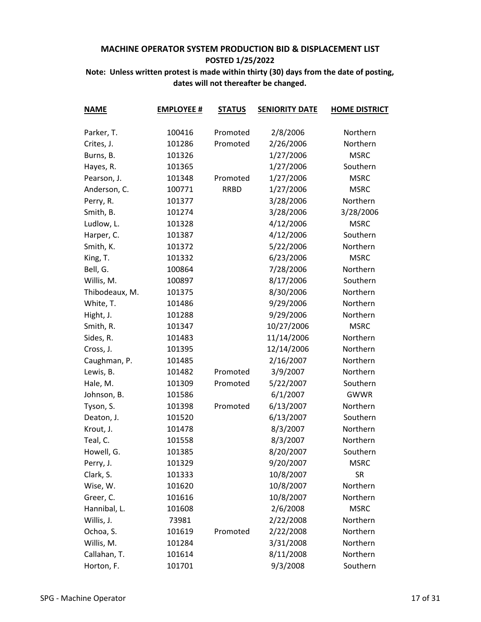| <b>NAME</b>    | <b>EMPLOYEE #</b> | <b>STATUS</b> | <b>SENIORITY DATE</b> | <b>HOME DISTRICT</b> |
|----------------|-------------------|---------------|-----------------------|----------------------|
|                |                   |               |                       |                      |
| Parker, T.     | 100416            | Promoted      | 2/8/2006              | Northern             |
| Crites, J.     | 101286            | Promoted      | 2/26/2006             | Northern             |
| Burns, B.      | 101326            |               | 1/27/2006             | <b>MSRC</b>          |
| Hayes, R.      | 101365            |               | 1/27/2006             | Southern             |
| Pearson, J.    | 101348            | Promoted      | 1/27/2006             | <b>MSRC</b>          |
| Anderson, C.   | 100771            | <b>RRBD</b>   | 1/27/2006             | <b>MSRC</b>          |
| Perry, R.      | 101377            |               | 3/28/2006             | Northern             |
| Smith, B.      | 101274            |               | 3/28/2006             | 3/28/2006            |
| Ludlow, L.     | 101328            |               | 4/12/2006             | <b>MSRC</b>          |
| Harper, C.     | 101387            |               | 4/12/2006             | Southern             |
| Smith, K.      | 101372            |               | 5/22/2006             | Northern             |
| King, T.       | 101332            |               | 6/23/2006             | <b>MSRC</b>          |
| Bell, G.       | 100864            |               | 7/28/2006             | Northern             |
| Willis, M.     | 100897            |               | 8/17/2006             | Southern             |
| Thibodeaux, M. | 101375            |               | 8/30/2006             | Northern             |
| White, T.      | 101486            |               | 9/29/2006             | Northern             |
| Hight, J.      | 101288            |               | 9/29/2006             | Northern             |
| Smith, R.      | 101347            |               | 10/27/2006            | <b>MSRC</b>          |
| Sides, R.      | 101483            |               | 11/14/2006            | Northern             |
| Cross, J.      | 101395            |               | 12/14/2006            | Northern             |
| Caughman, P.   | 101485            |               | 2/16/2007             | Northern             |
| Lewis, B.      | 101482            | Promoted      | 3/9/2007              | Northern             |
| Hale, M.       | 101309            | Promoted      | 5/22/2007             | Southern             |
| Johnson, B.    | 101586            |               | 6/1/2007              | <b>GWWR</b>          |
| Tyson, S.      | 101398            | Promoted      | 6/13/2007             | Northern             |
| Deaton, J.     | 101520            |               | 6/13/2007             | Southern             |
| Krout, J.      | 101478            |               | 8/3/2007              | Northern             |
| Teal, C.       | 101558            |               | 8/3/2007              | Northern             |
| Howell, G.     | 101385            |               | 8/20/2007             | Southern             |
| Perry, J.      | 101329            |               | 9/20/2007             | <b>MSRC</b>          |
| Clark, S.      | 101333            |               | 10/8/2007             | <b>SR</b>            |
| Wise, W.       | 101620            |               | 10/8/2007             | Northern             |
| Greer, C.      | 101616            |               | 10/8/2007             | Northern             |
| Hannibal, L.   | 101608            |               | 2/6/2008              | <b>MSRC</b>          |
| Willis, J.     | 73981             |               | 2/22/2008             | Northern             |
| Ochoa, S.      | 101619            | Promoted      | 2/22/2008             | Northern             |
| Willis, M.     | 101284            |               | 3/31/2008             | Northern             |
| Callahan, T.   | 101614            |               | 8/11/2008             | Northern             |
| Horton, F.     | 101701            |               | 9/3/2008              | Southern             |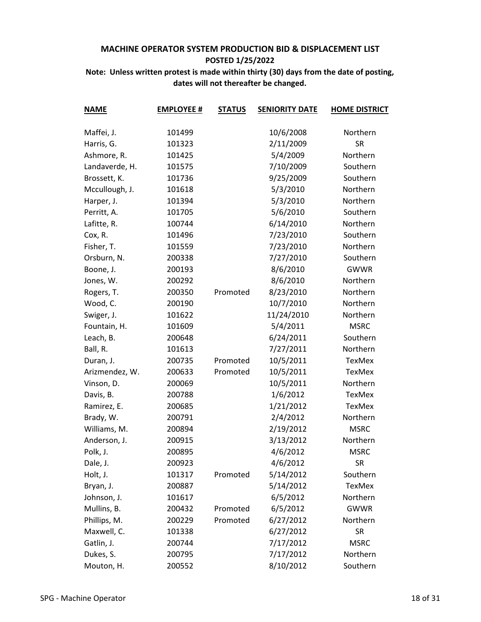| <b>NAME</b>    | <b>EMPLOYEE #</b> | <b>STATUS</b> | <b>SENIORITY DATE</b> | <b>HOME DISTRICT</b> |
|----------------|-------------------|---------------|-----------------------|----------------------|
|                |                   |               |                       |                      |
| Maffei, J.     | 101499            |               | 10/6/2008             | Northern             |
| Harris, G.     | 101323            |               | 2/11/2009             | <b>SR</b>            |
| Ashmore, R.    | 101425            |               | 5/4/2009              | Northern             |
| Landaverde, H. | 101575            |               | 7/10/2009             | Southern             |
| Brossett, K.   | 101736            |               | 9/25/2009             | Southern             |
| Mccullough, J. | 101618            |               | 5/3/2010              | Northern             |
| Harper, J.     | 101394            |               | 5/3/2010              | Northern             |
| Perritt, A.    | 101705            |               | 5/6/2010              | Southern             |
| Lafitte, R.    | 100744            |               | 6/14/2010             | Northern             |
| Cox, R.        | 101496            |               | 7/23/2010             | Southern             |
| Fisher, T.     | 101559            |               | 7/23/2010             | Northern             |
| Orsburn, N.    | 200338            |               | 7/27/2010             | Southern             |
| Boone, J.      | 200193            |               | 8/6/2010              | <b>GWWR</b>          |
| Jones, W.      | 200292            |               | 8/6/2010              | Northern             |
| Rogers, T.     | 200350            | Promoted      | 8/23/2010             | Northern             |
| Wood, C.       | 200190            |               | 10/7/2010             | Northern             |
| Swiger, J.     | 101622            |               | 11/24/2010            | Northern             |
| Fountain, H.   | 101609            |               | 5/4/2011              | <b>MSRC</b>          |
| Leach, B.      | 200648            |               | 6/24/2011             | Southern             |
| Ball, R.       | 101613            |               | 7/27/2011             | Northern             |
| Duran, J.      | 200735            | Promoted      | 10/5/2011             | <b>TexMex</b>        |
| Arizmendez, W. | 200633            | Promoted      | 10/5/2011             | TexMex               |
| Vinson, D.     | 200069            |               | 10/5/2011             | Northern             |
| Davis, B.      | 200788            |               | 1/6/2012              | TexMex               |
| Ramirez, E.    | 200685            |               | 1/21/2012             | TexMex               |
| Brady, W.      | 200791            |               | 2/4/2012              | Northern             |
| Williams, M.   | 200894            |               | 2/19/2012             | <b>MSRC</b>          |
| Anderson, J.   | 200915            |               | 3/13/2012             | Northern             |
| Polk, J.       | 200895            |               | 4/6/2012              | <b>MSRC</b>          |
| Dale, J.       | 200923            |               | 4/6/2012              | <b>SR</b>            |
| Holt, J.       | 101317            | Promoted      | 5/14/2012             | Southern             |
| Bryan, J.      | 200887            |               | 5/14/2012             | <b>TexMex</b>        |
| Johnson, J.    | 101617            |               | 6/5/2012              | Northern             |
| Mullins, B.    | 200432            | Promoted      | 6/5/2012              | <b>GWWR</b>          |
| Phillips, M.   | 200229            | Promoted      | 6/27/2012             | Northern             |
| Maxwell, C.    | 101338            |               | 6/27/2012             | <b>SR</b>            |
| Gatlin, J.     | 200744            |               | 7/17/2012             | <b>MSRC</b>          |
| Dukes, S.      | 200795            |               | 7/17/2012             | Northern             |
| Mouton, H.     | 200552            |               | 8/10/2012             | Southern             |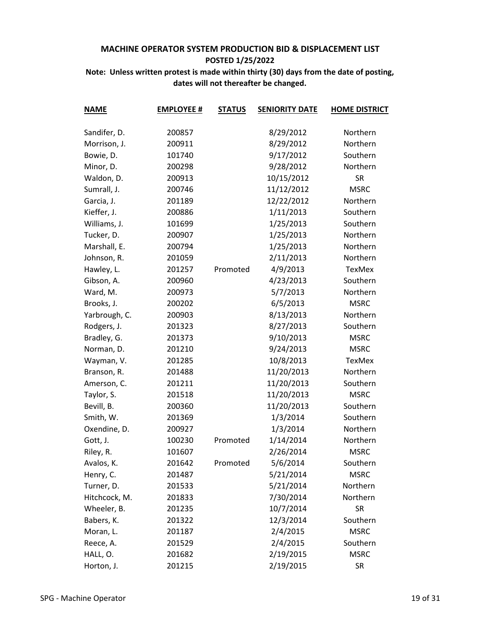| <b>NAME</b>   | <b>EMPLOYEE #</b> | <b>STATUS</b> | <b>SENIORITY DATE</b> | <b>HOME DISTRICT</b> |
|---------------|-------------------|---------------|-----------------------|----------------------|
|               |                   |               |                       |                      |
| Sandifer, D.  | 200857            |               | 8/29/2012             | Northern             |
| Morrison, J.  | 200911            |               | 8/29/2012             | Northern             |
| Bowie, D.     | 101740            |               | 9/17/2012             | Southern             |
| Minor, D.     | 200298            |               | 9/28/2012             | Northern             |
| Waldon, D.    | 200913            |               | 10/15/2012            | <b>SR</b>            |
| Sumrall, J.   | 200746            |               | 11/12/2012            | <b>MSRC</b>          |
| Garcia, J.    | 201189            |               | 12/22/2012            | Northern             |
| Kieffer, J.   | 200886            |               | 1/11/2013             | Southern             |
| Williams, J.  | 101699            |               | 1/25/2013             | Southern             |
| Tucker, D.    | 200907            |               | 1/25/2013             | Northern             |
| Marshall, E.  | 200794            |               | 1/25/2013             | Northern             |
| Johnson, R.   | 201059            |               | 2/11/2013             | Northern             |
| Hawley, L.    | 201257            | Promoted      | 4/9/2013              | TexMex               |
| Gibson, A.    | 200960            |               | 4/23/2013             | Southern             |
| Ward, M.      | 200973            |               | 5/7/2013              | Northern             |
| Brooks, J.    | 200202            |               | 6/5/2013              | <b>MSRC</b>          |
| Yarbrough, C. | 200903            |               | 8/13/2013             | Northern             |
| Rodgers, J.   | 201323            |               | 8/27/2013             | Southern             |
| Bradley, G.   | 201373            |               | 9/10/2013             | <b>MSRC</b>          |
| Norman, D.    | 201210            |               | 9/24/2013             | <b>MSRC</b>          |
| Wayman, V.    | 201285            |               | 10/8/2013             | TexMex               |
| Branson, R.   | 201488            |               | 11/20/2013            | Northern             |
| Amerson, C.   | 201211            |               | 11/20/2013            | Southern             |
| Taylor, S.    | 201518            |               | 11/20/2013            | <b>MSRC</b>          |
| Bevill, B.    | 200360            |               | 11/20/2013            | Southern             |
| Smith, W.     | 201369            |               | 1/3/2014              | Southern             |
| Oxendine, D.  | 200927            |               | 1/3/2014              | Northern             |
| Gott, J.      | 100230            | Promoted      | 1/14/2014             | Northern             |
| Riley, R.     | 101607            |               | 2/26/2014             | <b>MSRC</b>          |
| Avalos, K.    | 201642            | Promoted      | 5/6/2014              | Southern             |
| Henry, C.     | 201487            |               | 5/21/2014             | <b>MSRC</b>          |
| Turner, D.    | 201533            |               | 5/21/2014             | Northern             |
| Hitchcock, M. | 201833            |               | 7/30/2014             | Northern             |
| Wheeler, B.   | 201235            |               | 10/7/2014             | <b>SR</b>            |
| Babers, K.    | 201322            |               | 12/3/2014             | Southern             |
| Moran, L.     | 201187            |               | 2/4/2015              | <b>MSRC</b>          |
| Reece, A.     | 201529            |               | 2/4/2015              | Southern             |
| HALL, O.      | 201682            |               | 2/19/2015             | <b>MSRC</b>          |
| Horton, J.    | 201215            |               | 2/19/2015             | <b>SR</b>            |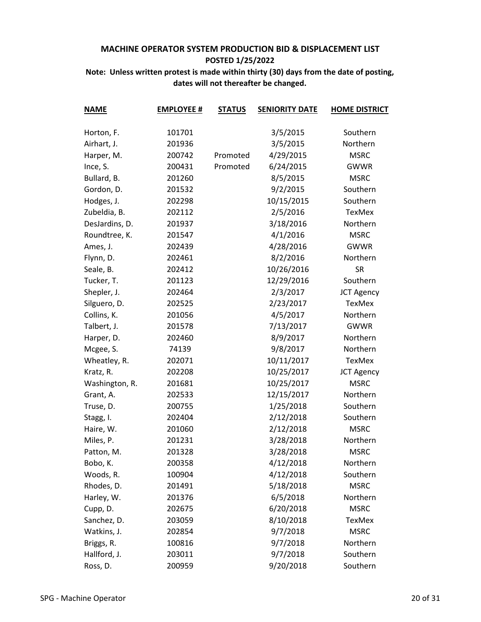| <b>NAME</b>    | <b>EMPLOYEE #</b> | <b>STATUS</b> | <b>SENIORITY DATE</b> | <b>HOME DISTRICT</b> |
|----------------|-------------------|---------------|-----------------------|----------------------|
|                |                   |               |                       |                      |
| Horton, F.     | 101701            |               | 3/5/2015              | Southern             |
| Airhart, J.    | 201936            |               | 3/5/2015              | Northern             |
| Harper, M.     | 200742            | Promoted      | 4/29/2015             | <b>MSRC</b>          |
| Ince, S.       | 200431            | Promoted      | 6/24/2015             | <b>GWWR</b>          |
| Bullard, B.    | 201260            |               | 8/5/2015              | <b>MSRC</b>          |
| Gordon, D.     | 201532            |               | 9/2/2015              | Southern             |
| Hodges, J.     | 202298            |               | 10/15/2015            | Southern             |
| Zubeldia, B.   | 202112            |               | 2/5/2016              | TexMex               |
| DesJardins, D. | 201937            |               | 3/18/2016             | Northern             |
| Roundtree, K.  | 201547            |               | 4/1/2016              | <b>MSRC</b>          |
| Ames, J.       | 202439            |               | 4/28/2016             | <b>GWWR</b>          |
| Flynn, D.      | 202461            |               | 8/2/2016              | Northern             |
| Seale, B.      | 202412            |               | 10/26/2016            | <b>SR</b>            |
| Tucker, T.     | 201123            |               | 12/29/2016            | Southern             |
| Shepler, J.    | 202464            |               | 2/3/2017              | <b>JCT Agency</b>    |
| Silguero, D.   | 202525            |               | 2/23/2017             | <b>TexMex</b>        |
| Collins, K.    | 201056            |               | 4/5/2017              | Northern             |
| Talbert, J.    | 201578            |               | 7/13/2017             | <b>GWWR</b>          |
| Harper, D.     | 202460            |               | 8/9/2017              | Northern             |
| Mcgee, S.      | 74139             |               | 9/8/2017              | Northern             |
| Wheatley, R.   | 202071            |               | 10/11/2017            | TexMex               |
| Kratz, R.      | 202208            |               | 10/25/2017            | <b>JCT Agency</b>    |
| Washington, R. | 201681            |               | 10/25/2017            | <b>MSRC</b>          |
| Grant, A.      | 202533            |               | 12/15/2017            | Northern             |
| Truse, D.      | 200755            |               | 1/25/2018             | Southern             |
| Stagg, I.      | 202404            |               | 2/12/2018             | Southern             |
| Haire, W.      | 201060            |               | 2/12/2018             | <b>MSRC</b>          |
| Miles, P.      | 201231            |               | 3/28/2018             | Northern             |
| Patton, M.     | 201328            |               | 3/28/2018             | <b>MSRC</b>          |
| Bobo, K.       | 200358            |               | 4/12/2018             | Northern             |
| Woods, R.      | 100904            |               | 4/12/2018             | Southern             |
| Rhodes, D.     | 201491            |               | 5/18/2018             | <b>MSRC</b>          |
| Harley, W.     | 201376            |               | 6/5/2018              | Northern             |
| Cupp, D.       | 202675            |               | 6/20/2018             | <b>MSRC</b>          |
| Sanchez, D.    | 203059            |               | 8/10/2018             | TexMex               |
| Watkins, J.    | 202854            |               | 9/7/2018              | <b>MSRC</b>          |
| Briggs, R.     | 100816            |               | 9/7/2018              | Northern             |
| Hallford, J.   | 203011            |               | 9/7/2018              | Southern             |
| Ross, D.       | 200959            |               | 9/20/2018             | Southern             |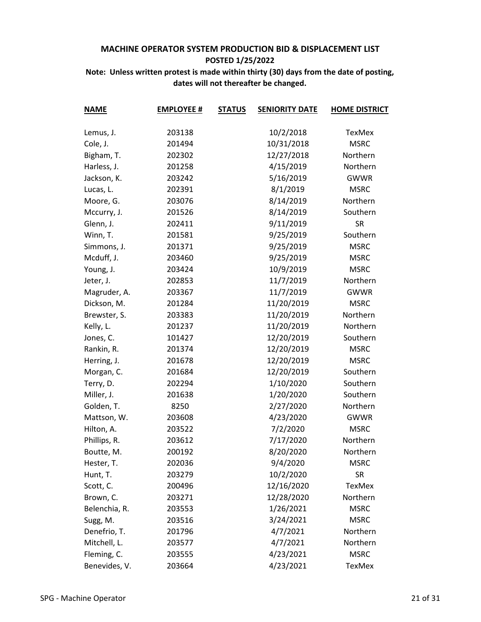| <b>NAME</b>   | <b>EMPLOYEE #</b> | <b>STATUS</b> | <b>SENIORITY DATE</b> | <b>HOME DISTRICT</b> |
|---------------|-------------------|---------------|-----------------------|----------------------|
|               |                   |               |                       |                      |
| Lemus, J.     | 203138            |               | 10/2/2018             | TexMex               |
| Cole, J.      | 201494            |               | 10/31/2018            | <b>MSRC</b>          |
| Bigham, T.    | 202302            |               | 12/27/2018            | Northern             |
| Harless, J.   | 201258            |               | 4/15/2019             | Northern             |
| Jackson, K.   | 203242            |               | 5/16/2019             | <b>GWWR</b>          |
| Lucas, L.     | 202391            |               | 8/1/2019              | <b>MSRC</b>          |
| Moore, G.     | 203076            |               | 8/14/2019             | Northern             |
| Mccurry, J.   | 201526            |               | 8/14/2019             | Southern             |
| Glenn, J.     | 202411            |               | 9/11/2019             | <b>SR</b>            |
| Winn, T.      | 201581            |               | 9/25/2019             | Southern             |
| Simmons, J.   | 201371            |               | 9/25/2019             | <b>MSRC</b>          |
| Mcduff, J.    | 203460            |               | 9/25/2019             | <b>MSRC</b>          |
| Young, J.     | 203424            |               | 10/9/2019             | <b>MSRC</b>          |
| Jeter, J.     | 202853            |               | 11/7/2019             | Northern             |
| Magruder, A.  | 203367            |               | 11/7/2019             | <b>GWWR</b>          |
| Dickson, M.   | 201284            |               | 11/20/2019            | <b>MSRC</b>          |
| Brewster, S.  | 203383            |               | 11/20/2019            | Northern             |
| Kelly, L.     | 201237            |               | 11/20/2019            | Northern             |
| Jones, C.     | 101427            |               | 12/20/2019            | Southern             |
| Rankin, R.    | 201374            |               | 12/20/2019            | <b>MSRC</b>          |
| Herring, J.   | 201678            |               | 12/20/2019            | <b>MSRC</b>          |
| Morgan, C.    | 201684            |               | 12/20/2019            | Southern             |
| Terry, D.     | 202294            |               | 1/10/2020             | Southern             |
| Miller, J.    | 201638            |               | 1/20/2020             | Southern             |
| Golden, T.    | 8250              |               | 2/27/2020             | Northern             |
| Mattson, W.   | 203608            |               | 4/23/2020             | <b>GWWR</b>          |
| Hilton, A.    | 203522            |               | 7/2/2020              | <b>MSRC</b>          |
| Phillips, R.  | 203612            |               | 7/17/2020             | Northern             |
| Boutte, M.    | 200192            |               | 8/20/2020             | Northern             |
| Hester, T.    | 202036            |               | 9/4/2020              | <b>MSRC</b>          |
| Hunt, T.      | 203279            |               | 10/2/2020             | <b>SR</b>            |
| Scott, C.     | 200496            |               | 12/16/2020            | <b>TexMex</b>        |
| Brown, C.     | 203271            |               | 12/28/2020            | Northern             |
| Belenchia, R. | 203553            |               | 1/26/2021             | <b>MSRC</b>          |
| Sugg, M.      | 203516            |               | 3/24/2021             | <b>MSRC</b>          |
| Denefrio, T.  | 201796            |               | 4/7/2021              | Northern             |
| Mitchell, L.  | 203577            |               | 4/7/2021              | Northern             |
| Fleming, C.   | 203555            |               | 4/23/2021             | <b>MSRC</b>          |
| Benevides, V. | 203664            |               | 4/23/2021             | TexMex               |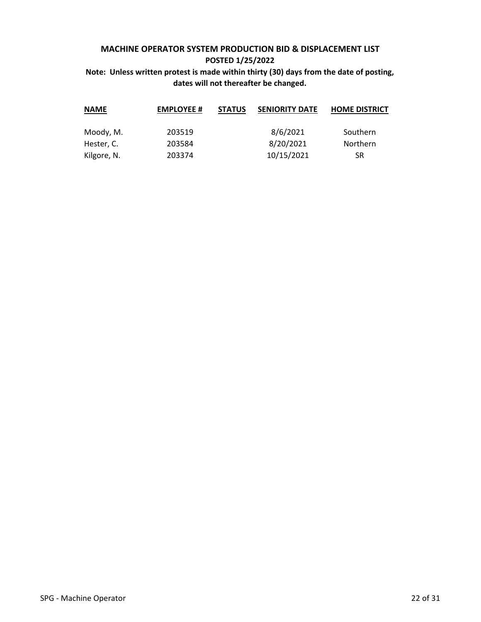| <b>NAME</b> | <b>EMPLOYEE #</b> | <b>STATUS</b> | <b>SENIORITY DATE</b> | <b>HOME DISTRICT</b> |
|-------------|-------------------|---------------|-----------------------|----------------------|
| Moody, M.   | 203519            |               | 8/6/2021              | Southern             |
| Hester, C.  | 203584            |               | 8/20/2021             | <b>Northern</b>      |
| Kilgore, N. | 203374            |               | 10/15/2021            | SR                   |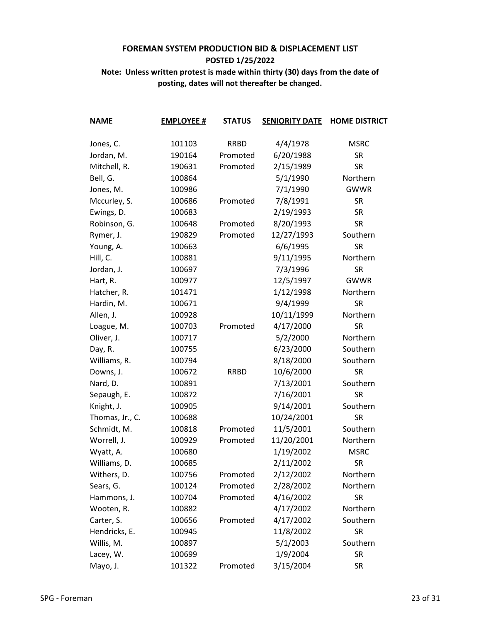| <b>NAME</b>     | <b>EMPLOYEE #</b> | <b>STATUS</b> | <b>SENIORITY DATE</b> | <b>HOME DISTRICT</b> |
|-----------------|-------------------|---------------|-----------------------|----------------------|
|                 |                   |               |                       |                      |
| Jones, C.       | 101103            | <b>RRBD</b>   | 4/4/1978              | <b>MSRC</b>          |
| Jordan, M.      | 190164            | Promoted      | 6/20/1988             | <b>SR</b>            |
| Mitchell, R.    | 190631            | Promoted      | 2/15/1989             | <b>SR</b>            |
| Bell, G.        | 100864            |               | 5/1/1990              | Northern             |
| Jones, M.       | 100986            |               | 7/1/1990              | <b>GWWR</b>          |
| Mccurley, S.    | 100686            | Promoted      | 7/8/1991              | <b>SR</b>            |
| Ewings, D.      | 100683            |               | 2/19/1993             | <b>SR</b>            |
| Robinson, G.    | 100648            | Promoted      | 8/20/1993             | <b>SR</b>            |
| Rymer, J.       | 190829            | Promoted      | 12/27/1993            | Southern             |
| Young, A.       | 100663            |               | 6/6/1995              | <b>SR</b>            |
| Hill, C.        | 100881            |               | 9/11/1995             | Northern             |
| Jordan, J.      | 100697            |               | 7/3/1996              | <b>SR</b>            |
| Hart, R.        | 100977            |               | 12/5/1997             | <b>GWWR</b>          |
| Hatcher, R.     | 101471            |               | 1/12/1998             | Northern             |
| Hardin, M.      | 100671            |               | 9/4/1999              | <b>SR</b>            |
| Allen, J.       | 100928            |               | 10/11/1999            | Northern             |
| Loague, M.      | 100703            | Promoted      | 4/17/2000             | <b>SR</b>            |
| Oliver, J.      | 100717            |               | 5/2/2000              | Northern             |
| Day, R.         | 100755            |               | 6/23/2000             | Southern             |
| Williams, R.    | 100794            |               | 8/18/2000             | Southern             |
| Downs, J.       | 100672            | <b>RRBD</b>   | 10/6/2000             | <b>SR</b>            |
| Nard, D.        | 100891            |               | 7/13/2001             | Southern             |
| Sepaugh, E.     | 100872            |               | 7/16/2001             | <b>SR</b>            |
| Knight, J.      | 100905            |               | 9/14/2001             | Southern             |
| Thomas, Jr., C. | 100688            |               | 10/24/2001            | <b>SR</b>            |
| Schmidt, M.     | 100818            | Promoted      | 11/5/2001             | Southern             |
| Worrell, J.     | 100929            | Promoted      | 11/20/2001            | Northern             |
| Wyatt, A.       | 100680            |               | 1/19/2002             | <b>MSRC</b>          |
| Williams, D.    | 100685            |               | 2/11/2002             | <b>SR</b>            |
| Withers, D.     | 100756            | Promoted      | 2/12/2002             | Northern             |
| Sears, G.       | 100124            | Promoted      | 2/28/2002             | Northern             |
| Hammons, J.     | 100704            | Promoted      | 4/16/2002             | <b>SR</b>            |
| Wooten, R.      | 100882            |               | 4/17/2002             | Northern             |
| Carter, S.      | 100656            | Promoted      | 4/17/2002             | Southern             |
| Hendricks, E.   | 100945            |               | 11/8/2002             | <b>SR</b>            |
| Willis, M.      | 100897            |               | 5/1/2003              | Southern             |
| Lacey, W.       | 100699            |               | 1/9/2004              | <b>SR</b>            |
| Mayo, J.        | 101322            | Promoted      | 3/15/2004             | <b>SR</b>            |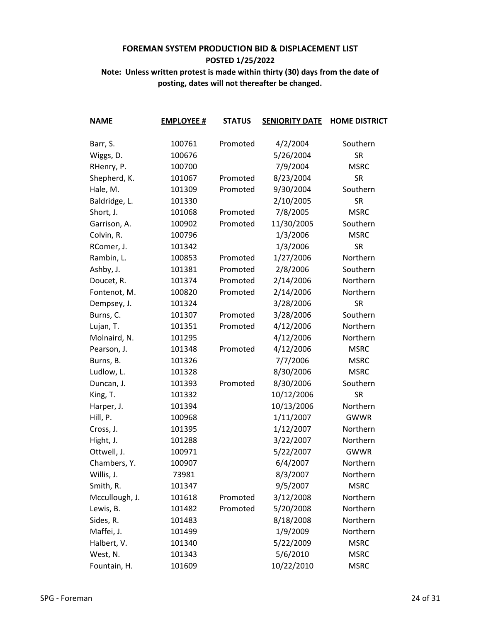| <b>NAME</b>    | <b>EMPLOYEE #</b> | <b>STATUS</b> | <b>SENIORITY DATE</b> | <b>HOME DISTRICT</b> |
|----------------|-------------------|---------------|-----------------------|----------------------|
| Barr, S.       | 100761            | Promoted      | 4/2/2004              | Southern             |
| Wiggs, D.      | 100676            |               | 5/26/2004             | <b>SR</b>            |
| RHenry, P.     | 100700            |               | 7/9/2004              | <b>MSRC</b>          |
| Shepherd, K.   | 101067            | Promoted      | 8/23/2004             | <b>SR</b>            |
| Hale, M.       | 101309            | Promoted      | 9/30/2004             | Southern             |
| Baldridge, L.  | 101330            |               | 2/10/2005             | <b>SR</b>            |
| Short, J.      | 101068            | Promoted      | 7/8/2005              | <b>MSRC</b>          |
| Garrison, A.   | 100902            | Promoted      | 11/30/2005            | Southern             |
| Colvin, R.     | 100796            |               | 1/3/2006              | <b>MSRC</b>          |
| RComer, J.     | 101342            |               | 1/3/2006              | <b>SR</b>            |
| Rambin, L.     | 100853            | Promoted      | 1/27/2006             | Northern             |
| Ashby, J.      | 101381            | Promoted      | 2/8/2006              | Southern             |
| Doucet, R.     | 101374            | Promoted      | 2/14/2006             | Northern             |
| Fontenot, M.   | 100820            | Promoted      | 2/14/2006             | Northern             |
| Dempsey, J.    | 101324            |               | 3/28/2006             | <b>SR</b>            |
| Burns, C.      | 101307            | Promoted      | 3/28/2006             | Southern             |
| Lujan, T.      | 101351            | Promoted      | 4/12/2006             | Northern             |
| Molnaird, N.   | 101295            |               | 4/12/2006             | Northern             |
| Pearson, J.    | 101348            | Promoted      | 4/12/2006             | <b>MSRC</b>          |
| Burns, B.      | 101326            |               | 7/7/2006              | <b>MSRC</b>          |
| Ludlow, L.     | 101328            |               | 8/30/2006             | <b>MSRC</b>          |
| Duncan, J.     | 101393            | Promoted      | 8/30/2006             | Southern             |
| King, T.       | 101332            |               | 10/12/2006            | <b>SR</b>            |
| Harper, J.     | 101394            |               | 10/13/2006            | Northern             |
| Hill, P.       | 100968            |               | 1/11/2007             | <b>GWWR</b>          |
| Cross, J.      | 101395            |               | 1/12/2007             | Northern             |
| Hight, J.      | 101288            |               | 3/22/2007             | Northern             |
| Ottwell, J.    | 100971            |               | 5/22/2007             | <b>GWWR</b>          |
| Chambers, Y.   | 100907            |               | 6/4/2007              | Northern             |
| Willis, J.     | 73981             |               | 8/3/2007              | Northern             |
| Smith, R.      | 101347            |               | 9/5/2007              | <b>MSRC</b>          |
| Mccullough, J. | 101618            | Promoted      | 3/12/2008             | Northern             |
| Lewis, B.      | 101482            | Promoted      | 5/20/2008             | Northern             |
| Sides, R.      | 101483            |               | 8/18/2008             | Northern             |
| Maffei, J.     | 101499            |               | 1/9/2009              | Northern             |
| Halbert, V.    | 101340            |               | 5/22/2009             | <b>MSRC</b>          |
| West, N.       | 101343            |               | 5/6/2010              | <b>MSRC</b>          |
| Fountain, H.   | 101609            |               | 10/22/2010            | <b>MSRC</b>          |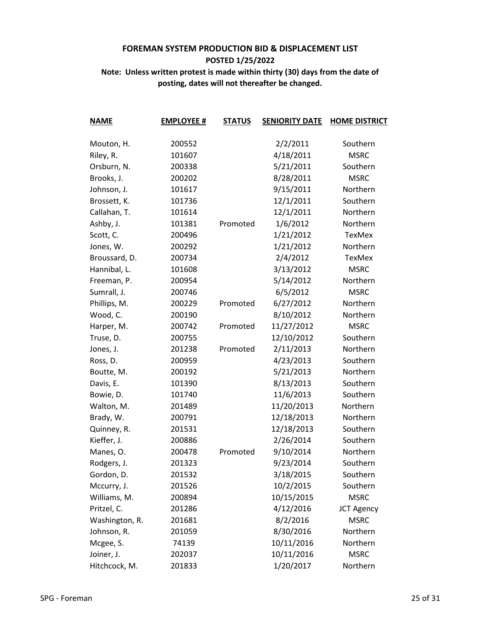| <b>NAME</b>    | <b>EMPLOYEE #</b> | <b>STATUS</b> | <b>SENIORITY DATE</b> | <b>HOME DISTRICT</b> |
|----------------|-------------------|---------------|-----------------------|----------------------|
| Mouton, H.     | 200552            |               | 2/2/2011              | Southern             |
| Riley, R.      | 101607            |               | 4/18/2011             | <b>MSRC</b>          |
| Orsburn, N.    | 200338            |               | 5/21/2011             | Southern             |
| Brooks, J.     | 200202            |               | 8/28/2011             | <b>MSRC</b>          |
| Johnson, J.    | 101617            |               | 9/15/2011             | Northern             |
| Brossett, K.   | 101736            |               | 12/1/2011             | Southern             |
| Callahan, T.   | 101614            |               | 12/1/2011             | Northern             |
| Ashby, J.      | 101381            | Promoted      | 1/6/2012              | Northern             |
| Scott, C.      | 200496            |               | 1/21/2012             | TexMex               |
| Jones, W.      | 200292            |               | 1/21/2012             | Northern             |
| Broussard, D.  | 200734            |               | 2/4/2012              | <b>TexMex</b>        |
| Hannibal, L.   | 101608            |               | 3/13/2012             | <b>MSRC</b>          |
| Freeman, P.    | 200954            |               | 5/14/2012             | Northern             |
| Sumrall, J.    | 200746            |               | 6/5/2012              | <b>MSRC</b>          |
| Phillips, M.   | 200229            | Promoted      | 6/27/2012             | Northern             |
| Wood, C.       | 200190            |               | 8/10/2012             | Northern             |
| Harper, M.     | 200742            | Promoted      | 11/27/2012            | <b>MSRC</b>          |
| Truse, D.      | 200755            |               | 12/10/2012            | Southern             |
| Jones, J.      | 201238            | Promoted      | 2/11/2013             | Northern             |
| Ross, D.       | 200959            |               | 4/23/2013             | Southern             |
| Boutte, M.     | 200192            |               | 5/21/2013             | Northern             |
| Davis, E.      | 101390            |               | 8/13/2013             | Southern             |
| Bowie, D.      | 101740            |               | 11/6/2013             | Southern             |
| Walton, M.     | 201489            |               | 11/20/2013            | Northern             |
| Brady, W.      | 200791            |               | 12/18/2013            | Northern             |
| Quinney, R.    | 201531            |               | 12/18/2013            | Southern             |
| Kieffer, J.    | 200886            |               | 2/26/2014             | Southern             |
| Manes, O.      | 200478            | Promoted      | 9/10/2014             | Northern             |
| Rodgers, J.    | 201323            |               | 9/23/2014             | Southern             |
| Gordon, D.     | 201532            |               | 3/18/2015             | Southern             |
| Mccurry, J.    | 201526            |               | 10/2/2015             | Southern             |
| Williams, M.   | 200894            |               | 10/15/2015            | <b>MSRC</b>          |
| Pritzel, C.    | 201286            |               | 4/12/2016             | <b>JCT Agency</b>    |
| Washington, R. | 201681            |               | 8/2/2016              | <b>MSRC</b>          |
| Johnson, R.    | 201059            |               | 8/30/2016             | Northern             |
| Mcgee, S.      | 74139             |               | 10/11/2016            | Northern             |
| Joiner, J.     | 202037            |               | 10/11/2016            | <b>MSRC</b>          |
| Hitchcock, M.  | 201833            |               | 1/20/2017             | Northern             |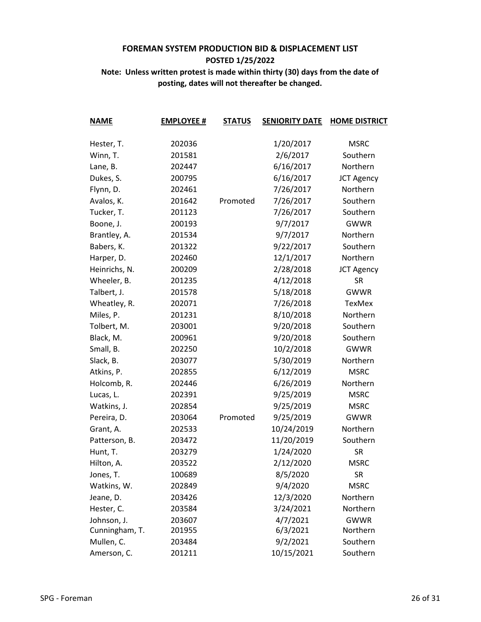| <b>NAME</b>    | <b>EMPLOYEE #</b> | <b>STATUS</b> | <b>SENIORITY DATE</b> | <b>HOME DISTRICT</b> |
|----------------|-------------------|---------------|-----------------------|----------------------|
|                |                   |               |                       |                      |
| Hester, T.     | 202036            |               | 1/20/2017             | <b>MSRC</b>          |
| Winn, T.       | 201581            |               | 2/6/2017              | Southern             |
| Lane, B.       | 202447            |               | 6/16/2017             | Northern             |
| Dukes, S.      | 200795            |               | 6/16/2017             | <b>JCT Agency</b>    |
| Flynn, D.      | 202461            |               | 7/26/2017             | Northern             |
| Avalos, K.     | 201642            | Promoted      | 7/26/2017             | Southern             |
| Tucker, T.     | 201123            |               | 7/26/2017             | Southern             |
| Boone, J.      | 200193            |               | 9/7/2017              | <b>GWWR</b>          |
| Brantley, A.   | 201534            |               | 9/7/2017              | Northern             |
| Babers, K.     | 201322            |               | 9/22/2017             | Southern             |
| Harper, D.     | 202460            |               | 12/1/2017             | Northern             |
| Heinrichs, N.  | 200209            |               | 2/28/2018             | <b>JCT Agency</b>    |
| Wheeler, B.    | 201235            |               | 4/12/2018             | <b>SR</b>            |
| Talbert, J.    | 201578            |               | 5/18/2018             | <b>GWWR</b>          |
| Wheatley, R.   | 202071            |               | 7/26/2018             | <b>TexMex</b>        |
| Miles, P.      | 201231            |               | 8/10/2018             | Northern             |
| Tolbert, M.    | 203001            |               | 9/20/2018             | Southern             |
| Black, M.      | 200961            |               | 9/20/2018             | Southern             |
| Small, B.      | 202250            |               | 10/2/2018             | <b>GWWR</b>          |
| Slack, B.      | 203077            |               | 5/30/2019             | Northern             |
| Atkins, P.     | 202855            |               | 6/12/2019             | <b>MSRC</b>          |
| Holcomb, R.    | 202446            |               | 6/26/2019             | Northern             |
| Lucas, L.      | 202391            |               | 9/25/2019             | <b>MSRC</b>          |
| Watkins, J.    | 202854            |               | 9/25/2019             | <b>MSRC</b>          |
| Pereira, D.    | 203064            | Promoted      | 9/25/2019             | <b>GWWR</b>          |
| Grant, A.      | 202533            |               | 10/24/2019            | Northern             |
| Patterson, B.  | 203472            |               | 11/20/2019            | Southern             |
| Hunt, T.       | 203279            |               | 1/24/2020             | <b>SR</b>            |
| Hilton, A.     | 203522            |               | 2/12/2020             | <b>MSRC</b>          |
| Jones, T.      | 100689            |               | 8/5/2020              | <b>SR</b>            |
| Watkins, W.    | 202849            |               | 9/4/2020              | <b>MSRC</b>          |
| Jeane, D.      | 203426            |               | 12/3/2020             | Northern             |
| Hester, C.     | 203584            |               | 3/24/2021             | Northern             |
| Johnson, J.    | 203607            |               | 4/7/2021              | <b>GWWR</b>          |
| Cunningham, T. | 201955            |               | 6/3/2021              | Northern             |
| Mullen, C.     | 203484            |               | 9/2/2021              | Southern             |
| Amerson, C.    | 201211            |               | 10/15/2021            | Southern             |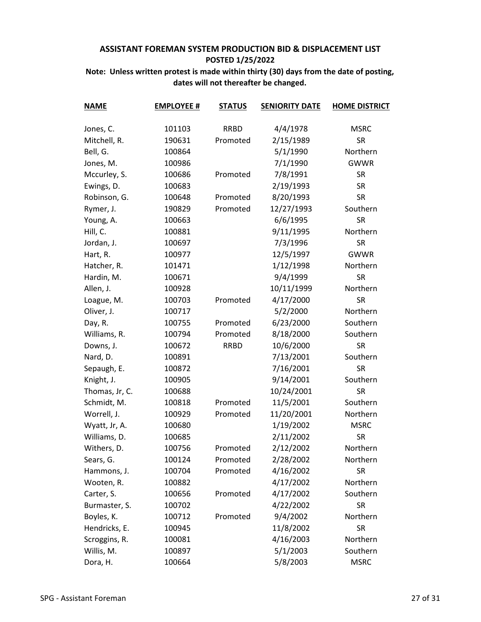| <b>NAME</b>    | <b>EMPLOYEE #</b> | <b>STATUS</b> | <b>SENIORITY DATE</b> | <b>HOME DISTRICT</b> |
|----------------|-------------------|---------------|-----------------------|----------------------|
| Jones, C.      | 101103            | <b>RRBD</b>   | 4/4/1978              | <b>MSRC</b>          |
| Mitchell, R.   | 190631            | Promoted      | 2/15/1989             | <b>SR</b>            |
| Bell, G.       | 100864            |               | 5/1/1990              | Northern             |
| Jones, M.      | 100986            |               | 7/1/1990              | <b>GWWR</b>          |
| Mccurley, S.   | 100686            | Promoted      | 7/8/1991              | <b>SR</b>            |
| Ewings, D.     | 100683            |               | 2/19/1993             | <b>SR</b>            |
| Robinson, G.   | 100648            | Promoted      | 8/20/1993             | <b>SR</b>            |
| Rymer, J.      | 190829            | Promoted      | 12/27/1993            | Southern             |
| Young, A.      | 100663            |               | 6/6/1995              | <b>SR</b>            |
| Hill, C.       | 100881            |               | 9/11/1995             | Northern             |
| Jordan, J.     | 100697            |               | 7/3/1996              | <b>SR</b>            |
| Hart, R.       | 100977            |               | 12/5/1997             | <b>GWWR</b>          |
| Hatcher, R.    | 101471            |               | 1/12/1998             | Northern             |
| Hardin, M.     | 100671            |               | 9/4/1999              | <b>SR</b>            |
| Allen, J.      | 100928            |               | 10/11/1999            | Northern             |
| Loague, M.     | 100703            | Promoted      | 4/17/2000             | <b>SR</b>            |
| Oliver, J.     | 100717            |               | 5/2/2000              | Northern             |
| Day, R.        | 100755            | Promoted      | 6/23/2000             | Southern             |
| Williams, R.   | 100794            | Promoted      | 8/18/2000             | Southern             |
| Downs, J.      | 100672            | <b>RRBD</b>   | 10/6/2000             | <b>SR</b>            |
| Nard, D.       | 100891            |               | 7/13/2001             | Southern             |
| Sepaugh, E.    | 100872            |               | 7/16/2001             | <b>SR</b>            |
| Knight, J.     | 100905            |               | 9/14/2001             | Southern             |
| Thomas, Jr, C. | 100688            |               | 10/24/2001            | <b>SR</b>            |
| Schmidt, M.    | 100818            | Promoted      | 11/5/2001             | Southern             |
| Worrell, J.    | 100929            | Promoted      | 11/20/2001            | Northern             |
| Wyatt, Jr, A.  | 100680            |               | 1/19/2002             | <b>MSRC</b>          |
| Williams, D.   | 100685            |               | 2/11/2002             | <b>SR</b>            |
| Withers, D.    | 100756            | Promoted      | 2/12/2002             | Northern             |
| Sears, G.      | 100124            | Promoted      | 2/28/2002             | Northern             |
| Hammons, J.    | 100704            | Promoted      | 4/16/2002             | <b>SR</b>            |
| Wooten, R.     | 100882            |               | 4/17/2002             | Northern             |
| Carter, S.     | 100656            | Promoted      | 4/17/2002             | Southern             |
| Burmaster, S.  | 100702            |               | 4/22/2002             | <b>SR</b>            |
| Boyles, K.     | 100712            | Promoted      | 9/4/2002              | Northern             |
| Hendricks, E.  | 100945            |               | 11/8/2002             | <b>SR</b>            |
| Scroggins, R.  | 100081            |               | 4/16/2003             | Northern             |
| Willis, M.     | 100897            |               | 5/1/2003              | Southern             |
| Dora, H.       | 100664            |               | 5/8/2003              | <b>MSRC</b>          |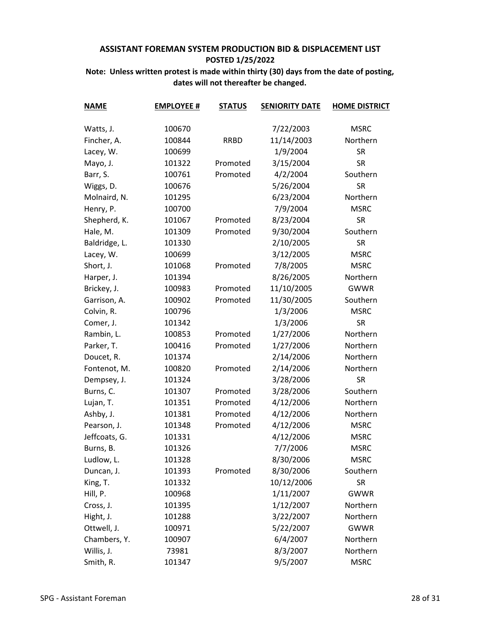| <b>NAME</b>   | <b>EMPLOYEE #</b> | <b>STATUS</b> | <b>SENIORITY DATE</b> | <b>HOME DISTRICT</b> |
|---------------|-------------------|---------------|-----------------------|----------------------|
| Watts, J.     | 100670            |               | 7/22/2003             | <b>MSRC</b>          |
| Fincher, A.   | 100844            | <b>RRBD</b>   | 11/14/2003            | Northern             |
| Lacey, W.     | 100699            |               | 1/9/2004              | <b>SR</b>            |
| Mayo, J.      | 101322            | Promoted      | 3/15/2004             | <b>SR</b>            |
| Barr, S.      | 100761            | Promoted      | 4/2/2004              | Southern             |
| Wiggs, D.     | 100676            |               | 5/26/2004             | <b>SR</b>            |
| Molnaird, N.  | 101295            |               | 6/23/2004             | Northern             |
| Henry, P.     | 100700            |               | 7/9/2004              | <b>MSRC</b>          |
| Shepherd, K.  | 101067            | Promoted      | 8/23/2004             | <b>SR</b>            |
| Hale, M.      | 101309            | Promoted      | 9/30/2004             | Southern             |
| Baldridge, L. | 101330            |               | 2/10/2005             | <b>SR</b>            |
| Lacey, W.     | 100699            |               | 3/12/2005             | <b>MSRC</b>          |
| Short, J.     | 101068            | Promoted      | 7/8/2005              | <b>MSRC</b>          |
| Harper, J.    | 101394            |               | 8/26/2005             | Northern             |
| Brickey, J.   | 100983            | Promoted      | 11/10/2005            | <b>GWWR</b>          |
| Garrison, A.  | 100902            | Promoted      | 11/30/2005            | Southern             |
| Colvin, R.    | 100796            |               | 1/3/2006              | <b>MSRC</b>          |
| Comer, J.     | 101342            |               | 1/3/2006              | <b>SR</b>            |
| Rambin, L.    | 100853            | Promoted      | 1/27/2006             | Northern             |
| Parker, T.    | 100416            | Promoted      | 1/27/2006             | Northern             |
| Doucet, R.    | 101374            |               | 2/14/2006             | Northern             |
| Fontenot, M.  | 100820            | Promoted      | 2/14/2006             | Northern             |
| Dempsey, J.   | 101324            |               | 3/28/2006             | <b>SR</b>            |
| Burns, C.     | 101307            | Promoted      | 3/28/2006             | Southern             |
| Lujan, T.     | 101351            | Promoted      | 4/12/2006             | Northern             |
| Ashby, J.     | 101381            | Promoted      | 4/12/2006             | Northern             |
| Pearson, J.   | 101348            | Promoted      | 4/12/2006             | <b>MSRC</b>          |
| Jeffcoats, G. | 101331            |               | 4/12/2006             | <b>MSRC</b>          |
| Burns, B.     | 101326            |               | 7/7/2006              | <b>MSRC</b>          |
| Ludlow, L.    | 101328            |               | 8/30/2006             | <b>MSRC</b>          |
| Duncan, J.    | 101393            | Promoted      | 8/30/2006             | Southern             |
| King, T.      | 101332            |               | 10/12/2006            | <b>SR</b>            |
| Hill, P.      | 100968            |               | 1/11/2007             | <b>GWWR</b>          |
| Cross, J.     | 101395            |               | 1/12/2007             | Northern             |
| Hight, J.     | 101288            |               | 3/22/2007             | Northern             |
| Ottwell, J.   | 100971            |               | 5/22/2007             | <b>GWWR</b>          |
| Chambers, Y.  | 100907            |               | 6/4/2007              | Northern             |
| Willis, J.    | 73981             |               | 8/3/2007              | Northern             |
| Smith, R.     | 101347            |               | 9/5/2007              | <b>MSRC</b>          |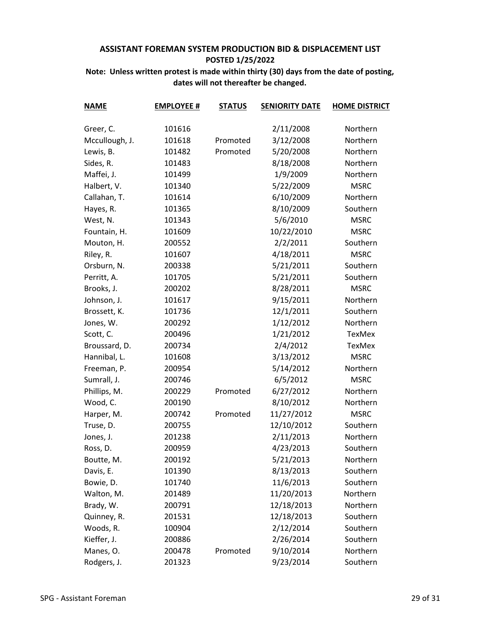| <b>NAME</b>    | <b>EMPLOYEE #</b> | <b>STATUS</b> | <b>SENIORITY DATE</b> | <b>HOME DISTRICT</b> |
|----------------|-------------------|---------------|-----------------------|----------------------|
|                |                   |               |                       |                      |
| Greer, C.      | 101616            |               | 2/11/2008             | Northern             |
| Mccullough, J. | 101618            | Promoted      | 3/12/2008             | Northern             |
| Lewis, B.      | 101482            | Promoted      | 5/20/2008             | Northern             |
| Sides, R.      | 101483            |               | 8/18/2008             | Northern             |
| Maffei, J.     | 101499            |               | 1/9/2009              | Northern             |
| Halbert, V.    | 101340            |               | 5/22/2009             | <b>MSRC</b>          |
| Callahan, T.   | 101614            |               | 6/10/2009             | Northern             |
| Hayes, R.      | 101365            |               | 8/10/2009             | Southern             |
| West, N.       | 101343            |               | 5/6/2010              | <b>MSRC</b>          |
| Fountain, H.   | 101609            |               | 10/22/2010            | <b>MSRC</b>          |
| Mouton, H.     | 200552            |               | 2/2/2011              | Southern             |
| Riley, R.      | 101607            |               | 4/18/2011             | <b>MSRC</b>          |
| Orsburn, N.    | 200338            |               | 5/21/2011             | Southern             |
| Perritt, A.    | 101705            |               | 5/21/2011             | Southern             |
| Brooks, J.     | 200202            |               | 8/28/2011             | <b>MSRC</b>          |
| Johnson, J.    | 101617            |               | 9/15/2011             | Northern             |
| Brossett, K.   | 101736            |               | 12/1/2011             | Southern             |
| Jones, W.      | 200292            |               | 1/12/2012             | Northern             |
| Scott, C.      | 200496            |               | 1/21/2012             | TexMex               |
| Broussard, D.  | 200734            |               | 2/4/2012              | TexMex               |
| Hannibal, L.   | 101608            |               | 3/13/2012             | <b>MSRC</b>          |
| Freeman, P.    | 200954            |               | 5/14/2012             | Northern             |
| Sumrall, J.    | 200746            |               | 6/5/2012              | <b>MSRC</b>          |
| Phillips, M.   | 200229            | Promoted      | 6/27/2012             | Northern             |
| Wood, C.       | 200190            |               | 8/10/2012             | Northern             |
| Harper, M.     | 200742            | Promoted      | 11/27/2012            | <b>MSRC</b>          |
| Truse, D.      | 200755            |               | 12/10/2012            | Southern             |
| Jones, J.      | 201238            |               | 2/11/2013             | Northern             |
| Ross, D.       | 200959            |               | 4/23/2013             | Southern             |
| Boutte, M.     | 200192            |               | 5/21/2013             | Northern             |
| Davis, E.      | 101390            |               | 8/13/2013             | Southern             |
| Bowie, D.      | 101740            |               | 11/6/2013             | Southern             |
| Walton, M.     | 201489            |               | 11/20/2013            | Northern             |
| Brady, W.      | 200791            |               | 12/18/2013            | Northern             |
| Quinney, R.    | 201531            |               | 12/18/2013            | Southern             |
| Woods, R.      | 100904            |               | 2/12/2014             | Southern             |
| Kieffer, J.    | 200886            |               | 2/26/2014             | Southern             |
| Manes, O.      | 200478            | Promoted      | 9/10/2014             | Northern             |
| Rodgers, J.    | 201323            |               | 9/23/2014             | Southern             |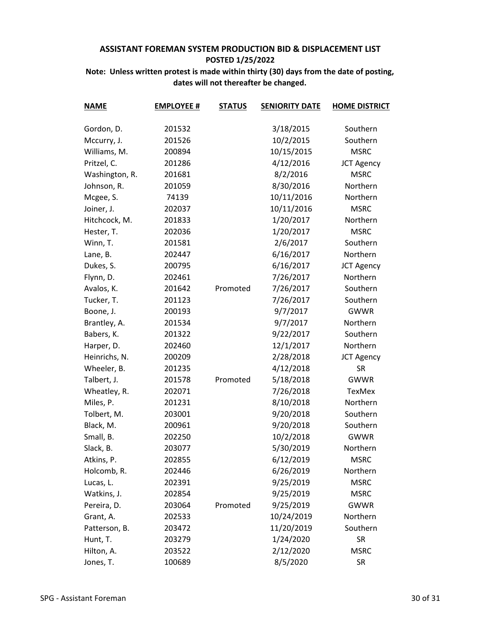| <b>NAME</b>    | <b>EMPLOYEE #</b> | <b>STATUS</b> | <b>SENIORITY DATE</b> | <b>HOME DISTRICT</b> |
|----------------|-------------------|---------------|-----------------------|----------------------|
| Gordon, D.     | 201532            |               | 3/18/2015             | Southern             |
| Mccurry, J.    | 201526            |               | 10/2/2015             | Southern             |
| Williams, M.   | 200894            |               | 10/15/2015            | <b>MSRC</b>          |
| Pritzel, C.    | 201286            |               | 4/12/2016             | <b>JCT Agency</b>    |
|                |                   |               | 8/2/2016              | <b>MSRC</b>          |
| Washington, R. | 201681<br>201059  |               |                       | Northern             |
| Johnson, R.    | 74139             |               | 8/30/2016             | Northern             |
| Mcgee, S.      |                   |               | 10/11/2016            |                      |
| Joiner, J.     | 202037            |               | 10/11/2016            | <b>MSRC</b>          |
| Hitchcock, M.  | 201833            |               | 1/20/2017             | Northern             |
| Hester, T.     | 202036            |               | 1/20/2017             | <b>MSRC</b>          |
| Winn, T.       | 201581            |               | 2/6/2017              | Southern             |
| Lane, B.       | 202447            |               | 6/16/2017             | Northern             |
| Dukes, S.      | 200795            |               | 6/16/2017             | <b>JCT Agency</b>    |
| Flynn, D.      | 202461            |               | 7/26/2017             | Northern             |
| Avalos, K.     | 201642            | Promoted      | 7/26/2017             | Southern             |
| Tucker, T.     | 201123            |               | 7/26/2017             | Southern             |
| Boone, J.      | 200193            |               | 9/7/2017              | <b>GWWR</b>          |
| Brantley, A.   | 201534            |               | 9/7/2017              | Northern             |
| Babers, K.     | 201322            |               | 9/22/2017             | Southern             |
| Harper, D.     | 202460            |               | 12/1/2017             | Northern             |
| Heinrichs, N.  | 200209            |               | 2/28/2018             | <b>JCT Agency</b>    |
| Wheeler, B.    | 201235            |               | 4/12/2018             | <b>SR</b>            |
| Talbert, J.    | 201578            | Promoted      | 5/18/2018             | <b>GWWR</b>          |
| Wheatley, R.   | 202071            |               | 7/26/2018             | TexMex               |
| Miles, P.      | 201231            |               | 8/10/2018             | Northern             |
| Tolbert, M.    | 203001            |               | 9/20/2018             | Southern             |
| Black, M.      | 200961            |               | 9/20/2018             | Southern             |
| Small, B.      | 202250            |               | 10/2/2018             | <b>GWWR</b>          |
| Slack, B.      | 203077            |               | 5/30/2019             | Northern             |
| Atkins, P.     | 202855            |               | 6/12/2019             | <b>MSRC</b>          |
| Holcomb, R.    | 202446            |               | 6/26/2019             | Northern             |
| Lucas, L.      | 202391            |               | 9/25/2019             | <b>MSRC</b>          |
| Watkins, J.    | 202854            |               | 9/25/2019             | <b>MSRC</b>          |
| Pereira, D.    | 203064            | Promoted      | 9/25/2019             | <b>GWWR</b>          |
| Grant, A.      | 202533            |               | 10/24/2019            | Northern             |
| Patterson, B.  | 203472            |               | 11/20/2019            | Southern             |
| Hunt, T.       | 203279            |               | 1/24/2020             | <b>SR</b>            |
| Hilton, A.     | 203522            |               | 2/12/2020             | <b>MSRC</b>          |
| Jones, T.      | 100689            |               | 8/5/2020              | <b>SR</b>            |